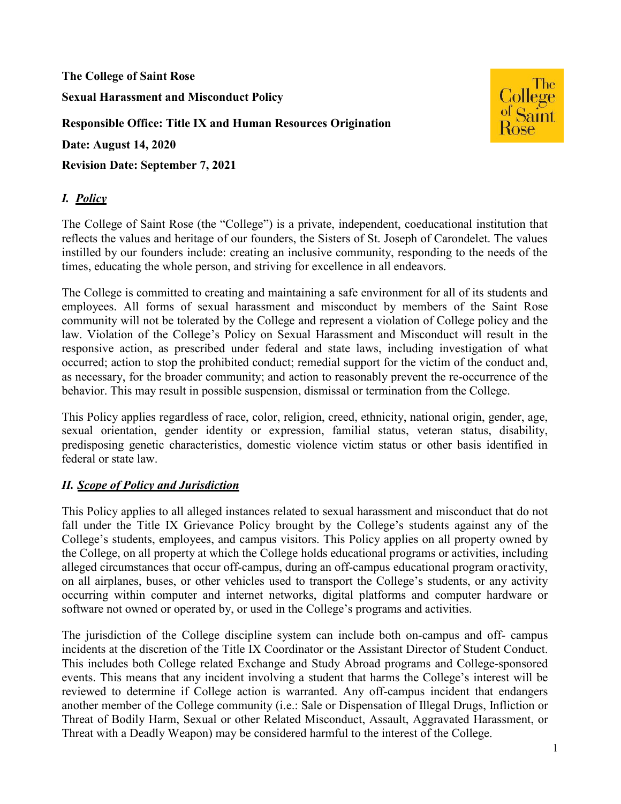**The College of Saint Rose Sexual Harassment and Misconduct Policy Responsible Office: Title IX and Human Resources Origination Date: August 14, 2020** 

**Revision Date: September 7, 2021** 

# *I. Policy*

The College of Saint Rose (the "College") is a private, independent, coeducational institution that reflects the values and heritage of our founders, the Sisters of St. Joseph of Carondelet. The values instilled by our founders include: creating an inclusive community, responding to the needs of the times, educating the whole person, and striving for excellence in all endeavors.

The College is committed to creating and maintaining a safe environment for all of its students and employees. All forms of sexual harassment and misconduct by members of the Saint Rose community will not be tolerated by the College and represent a violation of College policy and the law. Violation of the College's Policy on Sexual Harassment and Misconduct will result in the responsive action, as prescribed under federal and state laws, including investigation of what occurred; action to stop the prohibited conduct; remedial support for the victim of the conduct and, as necessary, for the broader community; and action to reasonably prevent the re-occurrence of the behavior. This may result in possible suspension, dismissal or termination from the College.

This Policy applies regardless of race, color, religion, creed, ethnicity, national origin, gender, age, sexual orientation, gender identity or expression, familial status, veteran status, disability, predisposing genetic characteristics, domestic violence victim status or other basis identified in federal or state law.

### *II. Scope of Policy and Jurisdiction*

This Policy applies to all alleged instances related to sexual harassment and misconduct that do not fall under the Title IX Grievance Policy brought by the College's students against any of the College's students, employees, and campus visitors. This Policy applies on all property owned by the College, on all property at which the College holds educational programs or activities, including alleged circumstances that occur off-campus, during an off-campus educational program oractivity, on all airplanes, buses, or other vehicles used to transport the College's students, or any activity occurring within computer and internet networks, digital platforms and computer hardware or software not owned or operated by, or used in the College's programs and activities.

The jurisdiction of the College discipline system can include both on-campus and off- campus incidents at the discretion of the Title IX Coordinator or the Assistant Director of Student Conduct. This includes both College related Exchange and Study Abroad programs and College-sponsored events. This means that any incident involving a student that harms the College's interest will be reviewed to determine if College action is warranted. Any off-campus incident that endangers another member of the College community (i.e.: Sale or Dispensation of Illegal Drugs, Infliction or Threat of Bodily Harm, Sexual or other Related Misconduct, Assault, Aggravated Harassment, or Threat with a Deadly Weapon) may be considered harmful to the interest of the College.

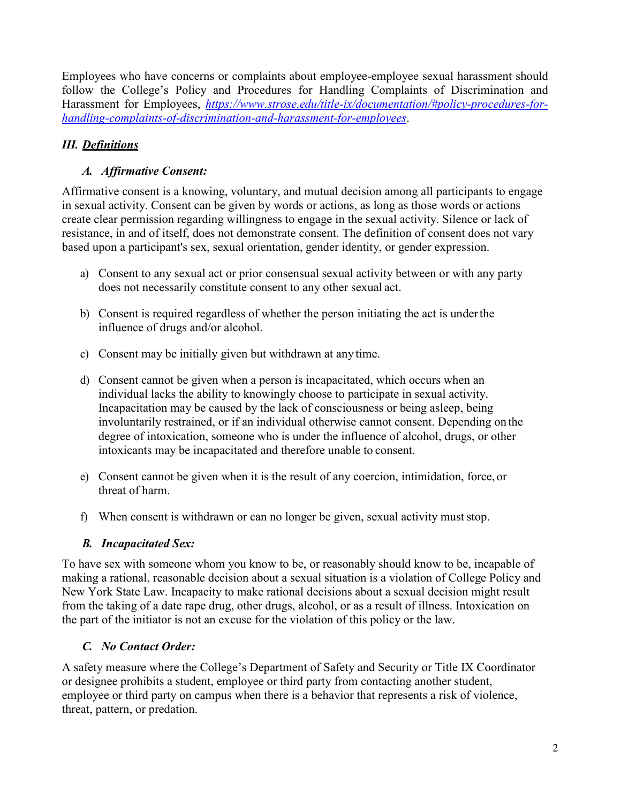Employees who have concerns or complaints about employee-employee sexual harassment should follow the College's Policy and Procedures for Handling Complaints of Discrimination and Harassment for Employees, *[https://www.strose.edu/title-ix/documentation/#policy-procedures-for](https://www.strose.edu/title-ix/documentation/#policy-procedures-for-handling-complaints-of-discrimination-and-harassment-for-employees)[handling-complaints-of-discrimination-and-harassment-for-employees](https://www.strose.edu/title-ix/documentation/#policy-procedures-for-handling-complaints-of-discrimination-and-harassment-for-employees)*.

# *III. Definitions*

# *A. Affirmative Consent:*

Affirmative consent is a knowing, voluntary, and mutual decision among all participants to engage in sexual activity. Consent can be given by words or actions, as long as those words or actions create clear permission regarding willingness to engage in the sexual activity. Silence or lack of resistance, in and of itself, does not demonstrate consent. The definition of consent does not vary based upon a participant's sex, sexual orientation, gender identity, or gender expression.

- a) Consent to any sexual act or prior consensual sexual activity between or with any party does not necessarily constitute consent to any other sexual act.
- b) Consent is required regardless of whether the person initiating the act is under the influence of drugs and/or alcohol.
- c) Consent may be initially given but withdrawn at any time.
- d) Consent cannot be given when a person is incapacitated, which occurs when an individual lacks the ability to knowingly choose to participate in sexual activity. Incapacitation may be caused by the lack of consciousness or being asleep, being involuntarily restrained, or if an individual otherwise cannot consent. Depending on the degree of intoxication, someone who is under the influence of alcohol, drugs, or other intoxicants may be incapacitated and therefore unable to consent.
- e) Consent cannot be given when it is the result of any coercion, intimidation, force, or threat of harm.
- f) When consent is withdrawn or can no longer be given, sexual activity must stop.

# *B. Incapacitated Sex:*

To have sex with someone whom you know to be, or reasonably should know to be, incapable of making a rational, reasonable decision about a sexual situation is a violation of College Policy and New York State Law. Incapacity to make rational decisions about a sexual decision might result from the taking of a date rape drug, other drugs, alcohol, or as a result of illness. Intoxication on the part of the initiator is not an excuse for the violation of this policy or the law.

# *C. No Contact Order:*

A safety measure where the College's Department of Safety and Security or Title IX Coordinator or designee prohibits a student, employee or third party from contacting another student, employee or third party on campus when there is a behavior that represents a risk of violence, threat, pattern, or predation.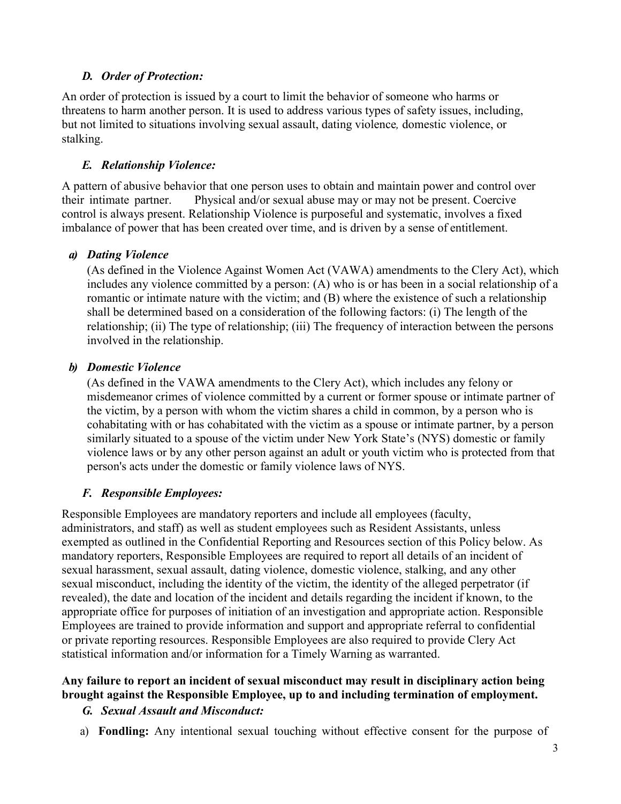# *D. Order of Protection:*

An order of protection is issued by a court to limit the behavior of someone who harms or threatens to harm another person. It is used to address various types of safety issues, including, but not limited to situations involving sexual assault, dating violence*,* domestic violence, or stalking.

### *E. Relationship Violence:*

A pattern of abusive behavior that one person uses to obtain and maintain power and control over their intimate partner. Physical and/or sexual abuse may or may not be present. Coercive control is always present. Relationship Violence is purposeful and systematic, involves a fixed imbalance of power that has been created over time, and is driven by a sense of entitlement.

### *a) Dating Violence*

(As defined in the Violence Against Women Act (VAWA) amendments to the Clery Act), which includes any violence committed by a person: (A) who is or has been in a social relationship of a romantic or intimate nature with the victim; and (B) where the existence of such a relationship shall be determined based on a consideration of the following factors: (i) The length of the relationship; (ii) The type of relationship; (iii) The frequency of interaction between the persons involved in the relationship.

### *b) Domestic Violence*

(As defined in the VAWA amendments to the Clery Act), which includes any felony or misdemeanor crimes of violence committed by a current or former spouse or intimate partner of the victim, by a person with whom the victim shares a child in common, by a person who is cohabitating with or has cohabitated with the victim as a spouse or intimate partner, by a person similarly situated to a spouse of the victim under New York State's (NYS) domestic or family violence laws or by any other person against an adult or youth victim who is protected from that person's acts under the domestic or family violence laws of NYS.

### *F. Responsible Employees:*

Responsible Employees are mandatory reporters and include all employees (faculty, administrators, and staff) as well as student employees such as Resident Assistants, unless exempted as outlined in the Confidential Reporting and Resources section of this Policy below. As mandatory reporters, Responsible Employees are required to report all details of an incident of sexual harassment, sexual assault, dating violence, domestic violence, stalking, and any other sexual misconduct, including the identity of the victim, the identity of the alleged perpetrator (if revealed), the date and location of the incident and details regarding the incident if known, to the appropriate office for purposes of initiation of an investigation and appropriate action. Responsible Employees are trained to provide information and support and appropriate referral to confidential or private reporting resources. Responsible Employees are also required to provide Clery Act statistical information and/or information for a Timely Warning as warranted.

### **Any failure to report an incident of sexual misconduct may result in disciplinary action being brought against the Responsible Employee, up to and including termination of employment.**

### *G. Sexual Assault and Misconduct:*

a) **Fondling:** Any intentional sexual touching without effective consent for the purpose of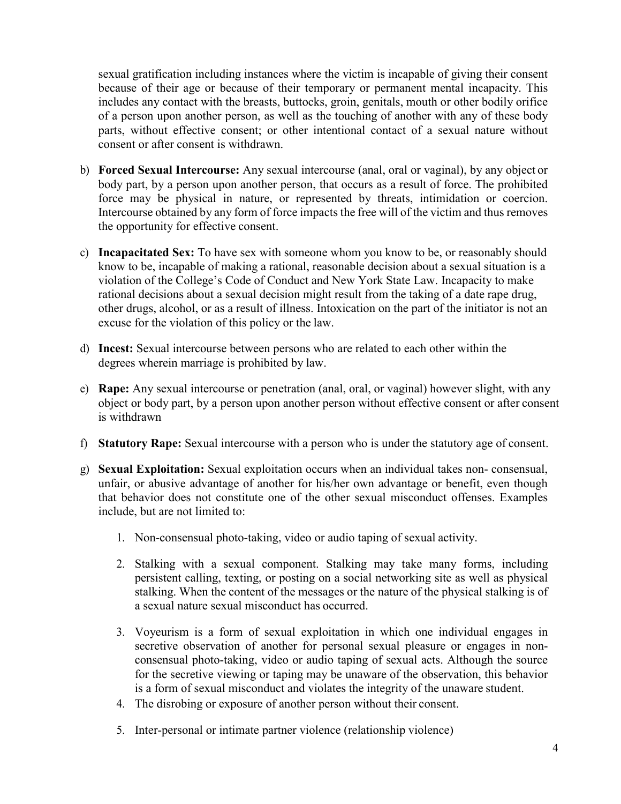sexual gratification including instances where the victim is incapable of giving their consent because of their age or because of their temporary or permanent mental incapacity. This includes any contact with the breasts, buttocks, groin, genitals, mouth or other bodily orifice of a person upon another person, as well as the touching of another with any of these body parts, without effective consent; or other intentional contact of a sexual nature without consent or after consent is withdrawn.

- b) **Forced Sexual Intercourse:** Any sexual intercourse (anal, oral or vaginal), by any object or body part, by a person upon another person, that occurs as a result of force. The prohibited force may be physical in nature, or represented by threats, intimidation or coercion. Intercourse obtained by any form of force impacts the free will of the victim and thus removes the opportunity for effective consent.
- c) **Incapacitated Sex:** To have sex with someone whom you know to be, or reasonably should know to be, incapable of making a rational, reasonable decision about a sexual situation is a violation of the College's Code of Conduct and New York State Law. Incapacity to make rational decisions about a sexual decision might result from the taking of a date rape drug, other drugs, alcohol, or as a result of illness. Intoxication on the part of the initiator is not an excuse for the violation of this policy or the law.
- d) **Incest:** Sexual intercourse between persons who are related to each other within the degrees wherein marriage is prohibited by law.
- e) **Rape:** Any sexual intercourse or penetration (anal, oral, or vaginal) however slight, with any object or body part, by a person upon another person without effective consent or after consent is withdrawn
- f) **Statutory Rape:** Sexual intercourse with a person who is under the statutory age of consent.
- g) **Sexual Exploitation:** Sexual exploitation occurs when an individual takes non- consensual, unfair, or abusive advantage of another for his/her own advantage or benefit, even though that behavior does not constitute one of the other sexual misconduct offenses. Examples include, but are not limited to:
	- 1. Non-consensual photo-taking, video or audio taping of sexual activity.
	- 2. Stalking with a sexual component. Stalking may take many forms, including persistent calling, texting, or posting on a social networking site as well as physical stalking. When the content of the messages or the nature of the physical stalking is of a sexual nature sexual misconduct has occurred.
	- 3. Voyeurism is a form of sexual exploitation in which one individual engages in secretive observation of another for personal sexual pleasure or engages in nonconsensual photo-taking, video or audio taping of sexual acts. Although the source for the secretive viewing or taping may be unaware of the observation, this behavior is a form of sexual misconduct and violates the integrity of the unaware student.
	- 4. The disrobing or exposure of another person without their consent.
	- 5. Inter-personal or intimate partner violence (relationship violence)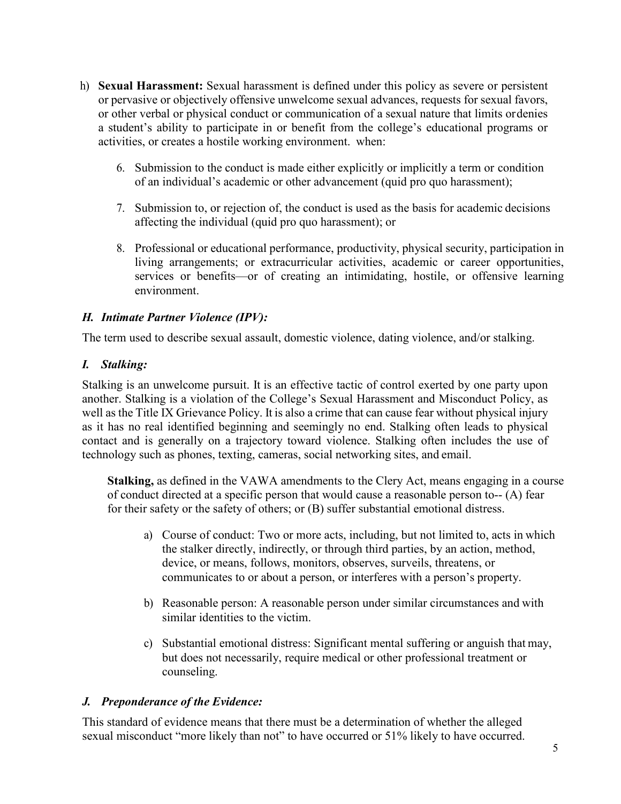- h) **Sexual Harassment:** Sexual harassment is defined under this policy as severe or persistent or pervasive or objectively offensive unwelcome sexual advances, requests for sexual favors, or other verbal or physical conduct or communication of a sexual nature that limits ordenies a student's ability to participate in or benefit from the college's educational programs or activities, or creates a hostile working environment. when:
	- 6. Submission to the conduct is made either explicitly or implicitly a term or condition of an individual's academic or other advancement (quid pro quo harassment);
	- 7. Submission to, or rejection of, the conduct is used as the basis for academic decisions affecting the individual (quid pro quo harassment); or
	- 8. Professional or educational performance, productivity, physical security, participation in living arrangements; or extracurricular activities, academic or career opportunities, services or benefits—or of creating an intimidating, hostile, or offensive learning environment.

## *H. Intimate Partner Violence (IPV):*

The term used to describe sexual assault, domestic violence, dating violence, and/or stalking.

## *I. Stalking:*

Stalking is an unwelcome pursuit. It is an effective tactic of control exerted by one party upon another. Stalking is a violation of the College's Sexual Harassment and Misconduct Policy, as well as the Title IX Grievance Policy. It is also a crime that can cause fear without physical injury as it has no real identified beginning and seemingly no end. Stalking often leads to physical contact and is generally on a trajectory toward violence. Stalking often includes the use of technology such as phones, texting, cameras, social networking sites, and email.

**Stalking,** as defined in the VAWA amendments to the Clery Act, means engaging in a course of conduct directed at a specific person that would cause a reasonable person to-- (A) fear for their safety or the safety of others; or (B) suffer substantial emotional distress.

- a) Course of conduct: Two or more acts, including, but not limited to, acts in which the stalker directly, indirectly, or through third parties, by an action, method, device, or means, follows, monitors, observes, surveils, threatens, or communicates to or about a person, or interferes with a person's property.
- b) Reasonable person: A reasonable person under similar circumstances and with similar identities to the victim.
- c) Substantial emotional distress: Significant mental suffering or anguish that may, but does not necessarily, require medical or other professional treatment or counseling.

# *J. Preponderance of the Evidence:*

This standard of evidence means that there must be a determination of whether the alleged sexual misconduct "more likely than not" to have occurred or 51% likely to have occurred.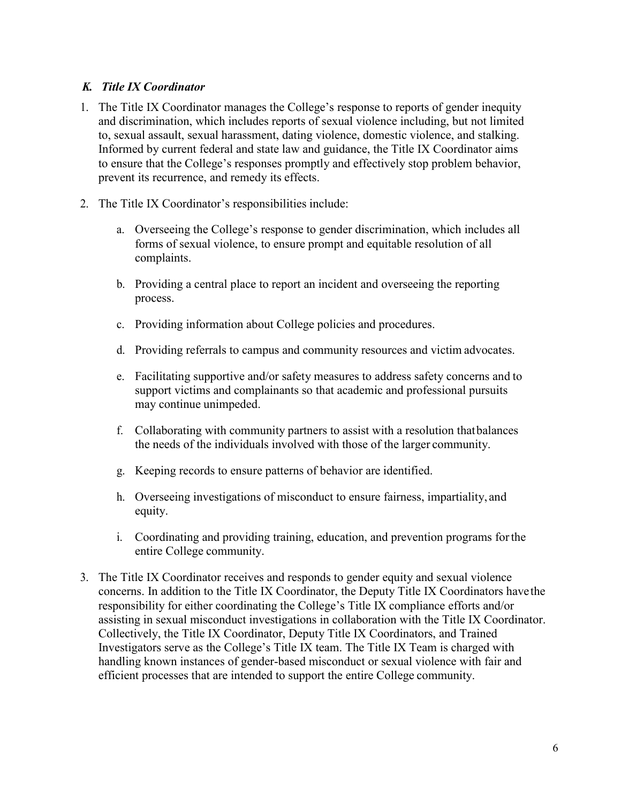### *K. Title IX Coordinator*

- 1. The Title IX Coordinator manages the College's response to reports of gender inequity and discrimination, which includes reports of sexual violence including, but not limited to, sexual assault, sexual harassment, dating violence, domestic violence, and stalking. Informed by current federal and state law and guidance, the Title IX Coordinator aims to ensure that the College's responses promptly and effectively stop problem behavior, prevent its recurrence, and remedy its effects.
- 2. The Title IX Coordinator's responsibilities include:
	- a. Overseeing the College's response to gender discrimination, which includes all forms of sexual violence, to ensure prompt and equitable resolution of all complaints.
	- b. Providing a central place to report an incident and overseeing the reporting process.
	- c. Providing information about College policies and procedures.
	- d. Providing referrals to campus and community resources and victim advocates.
	- e. Facilitating supportive and/or safety measures to address safety concerns and to support victims and complainants so that academic and professional pursuits may continue unimpeded.
	- f. Collaborating with community partners to assist with a resolution thatbalances the needs of the individuals involved with those of the larger community.
	- g. Keeping records to ensure patterns of behavior are identified.
	- h. Overseeing investigations of misconduct to ensure fairness, impartiality, and equity.
	- i. Coordinating and providing training, education, and prevention programs for the entire College community.
- 3. The Title IX Coordinator receives and responds to gender equity and sexual violence concerns. In addition to the Title IX Coordinator, the Deputy Title IX Coordinators have the responsibility for either coordinating the College's Title IX compliance efforts and/or assisting in sexual misconduct investigations in collaboration with the Title IX Coordinator. Collectively, the Title IX Coordinator, Deputy Title IX Coordinators, and Trained Investigators serve as the College's Title IX team. The Title IX Team is charged with handling known instances of gender-based misconduct or sexual violence with fair and efficient processes that are intended to support the entire College community.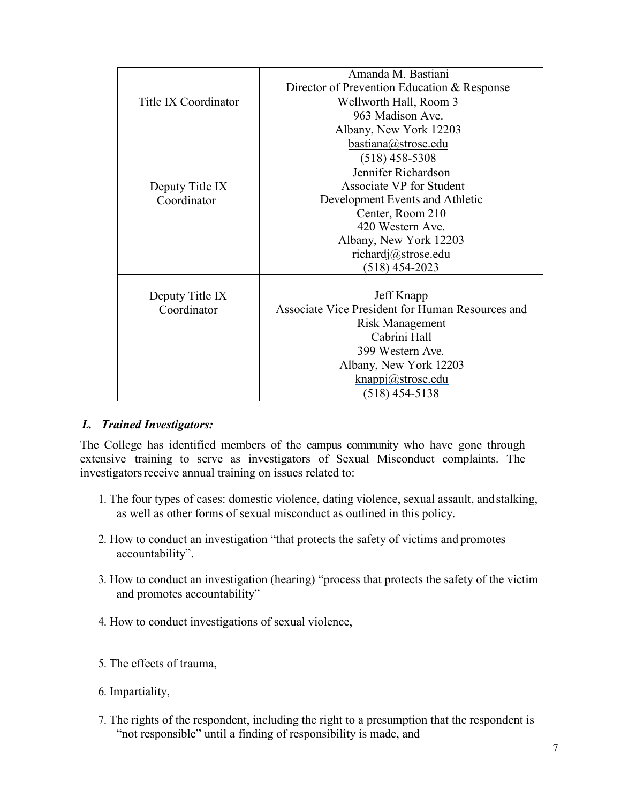|                      | Amanda M. Bastiani                               |  |  |
|----------------------|--------------------------------------------------|--|--|
|                      | Director of Prevention Education & Response      |  |  |
| Title IX Coordinator | Wellworth Hall, Room 3                           |  |  |
|                      | 963 Madison Ave.                                 |  |  |
|                      | Albany, New York 12203                           |  |  |
|                      | bastiana@strose.edu                              |  |  |
|                      | $(518)$ 458-5308                                 |  |  |
|                      | Jennifer Richardson                              |  |  |
| Deputy Title IX      | Associate VP for Student                         |  |  |
| Coordinator          | Development Events and Athletic                  |  |  |
|                      | Center, Room 210                                 |  |  |
|                      | 420 Western Ave.                                 |  |  |
|                      | Albany, New York 12203                           |  |  |
|                      | richardj@strose.edu                              |  |  |
|                      | $(518)$ 454-2023                                 |  |  |
|                      |                                                  |  |  |
| Deputy Title IX      | Jeff Knapp                                       |  |  |
| Coordinator          | Associate Vice President for Human Resources and |  |  |
|                      | Risk Management                                  |  |  |
|                      | Cabrini Hall                                     |  |  |
|                      | 399 Western Ave.                                 |  |  |
|                      | Albany, New York 12203                           |  |  |
|                      | knappj@strose.edu                                |  |  |
|                      | (518) 454-5138                                   |  |  |

### *L. Trained Investigators:*

The College has identified members of the campus community who have gone through extensive training to serve as investigators of Sexual Misconduct complaints. The investigators receive annual training on issues related to:

- 1. The four types of cases: domestic violence, dating violence, sexual assault, and stalking, as well as other forms of sexual misconduct as outlined in this policy.
- 2. How to conduct an investigation "that protects the safety of victims and promotes accountability".
- 3. How to conduct an investigation (hearing) "process that protects the safety of the victim and promotes accountability"
- 4. How to conduct investigations of sexual violence,
- 5. The effects of trauma,
- 6. Impartiality,
- 7. The rights of the respondent, including the right to a presumption that the respondent is "not responsible" until a finding of responsibility is made, and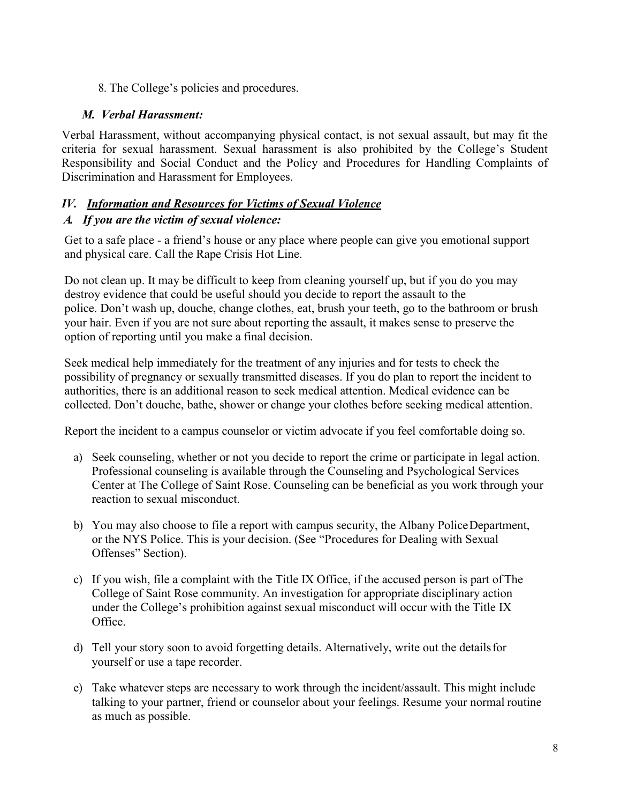8. The College's policies and procedures.

# *M. Verbal Harassment:*

Verbal Harassment, without accompanying physical contact, is not sexual assault, but may fit the criteria for sexual harassment. Sexual harassment is also prohibited by the College's Student Responsibility and Social Conduct and the Policy and Procedures for Handling Complaints of Discrimination and Harassment for Employees.

# *IV. Information and Resources for Victims of Sexual Violence*

## *A. If you are the victim of sexual violence:*

Get to a safe place - a friend's house or any place where people can give you emotional support and physical care. Call the Rape Crisis Hot Line.

Do not clean up. It may be difficult to keep from cleaning yourself up, but if you do you may destroy evidence that could be useful should you decide to report the assault to the police. Don't wash up, douche, change clothes, eat, brush your teeth, go to the bathroom or brush your hair. Even if you are not sure about reporting the assault, it makes sense to preserve the option of reporting until you make a final decision.

Seek medical help immediately for the treatment of any injuries and for tests to check the possibility of pregnancy or sexually transmitted diseases. If you do plan to report the incident to authorities, there is an additional reason to seek medical attention. Medical evidence can be collected. Don't douche, bathe, shower or change your clothes before seeking medical attention.

Report the incident to a campus counselor or victim advocate if you feel comfortable doing so.

- a) Seek counseling, whether or not you decide to report the crime or participate in legal action. Professional counseling is available through the Counseling and Psychological Services Center at The College of Saint Rose. Counseling can be beneficial as you work through your reaction to sexual misconduct.
- b) You may also choose to file a report with campus security, the Albany Police Department, or the NYS Police. This is your decision. (See "Procedures for Dealing with Sexual Offenses" Section).
- c) If you wish, file a complaint with the Title IX Office, if the accused person is part ofThe College of Saint Rose community. An investigation for appropriate disciplinary action under the College's prohibition against sexual misconduct will occur with the Title IX Office.
- d) Tell your story soon to avoid forgetting details. Alternatively, write out the detailsfor yourself or use a tape recorder.
- e) Take whatever steps are necessary to work through the incident/assault. This might include talking to your partner, friend or counselor about your feelings. Resume your normal routine as much as possible.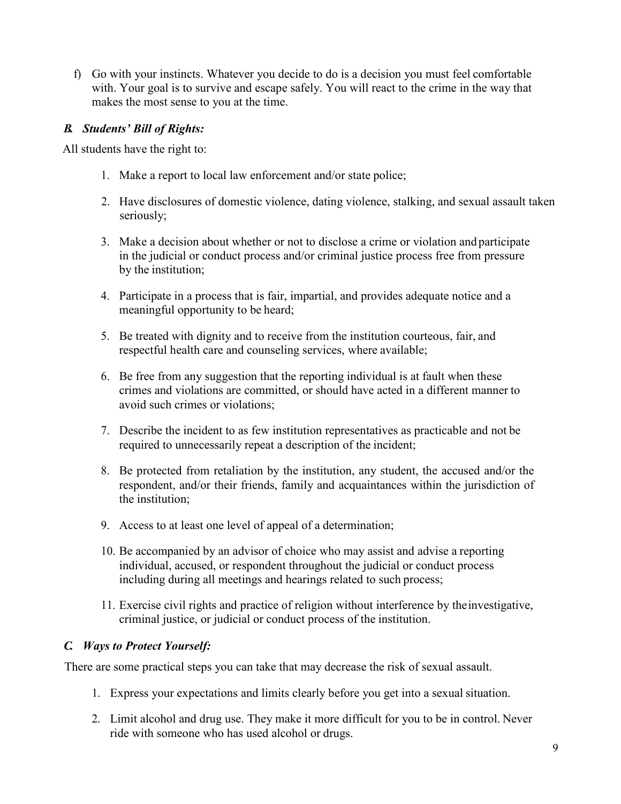f) Go with your instincts. Whatever you decide to do is a decision you must feel comfortable with. Your goal is to survive and escape safely. You will react to the crime in the way that makes the most sense to you at the time.

## *B. Students' Bill of Rights:*

All students have the right to:

- 1. Make a report to local law enforcement and/or state police;
- 2. Have disclosures of domestic violence, dating violence, stalking, and sexual assault taken seriously;
- 3. Make a decision about whether or not to disclose a crime or violation and participate in the judicial or conduct process and/or criminal justice process free from pressure by the institution;
- 4. Participate in a process that is fair, impartial, and provides adequate notice and a meaningful opportunity to be heard;
- 5. Be treated with dignity and to receive from the institution courteous, fair, and respectful health care and counseling services, where available;
- 6. Be free from any suggestion that the reporting individual is at fault when these crimes and violations are committed, or should have acted in a different manner to avoid such crimes or violations;
- 7. Describe the incident to as few institution representatives as practicable and not be required to unnecessarily repeat a description of the incident;
- 8. Be protected from retaliation by the institution, any student, the accused and/or the respondent, and/or their friends, family and acquaintances within the jurisdiction of the institution;
- 9. Access to at least one level of appeal of a determination;
- 10. Be accompanied by an advisor of choice who may assist and advise a reporting individual, accused, or respondent throughout the judicial or conduct process including during all meetings and hearings related to such process;
- 11. Exercise civil rights and practice of religion without interference by theinvestigative, criminal justice, or judicial or conduct process of the institution.

### *C. Ways to Protect Yourself:*

There are some practical steps you can take that may decrease the risk of sexual assault.

- 1. Express your expectations and limits clearly before you get into a sexual situation.
- 2. Limit alcohol and drug use. They make it more difficult for you to be in control. Never ride with someone who has used alcohol or drugs.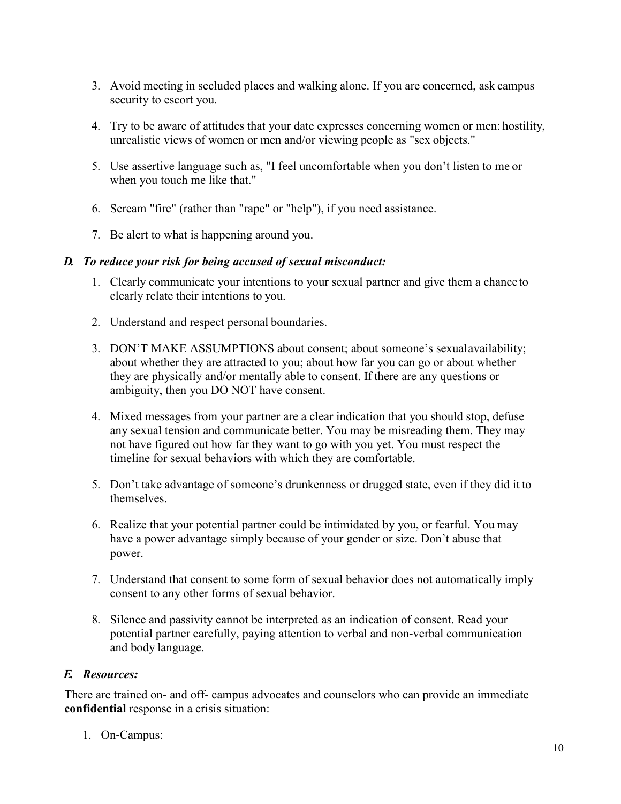- 3. Avoid meeting in secluded places and walking alone. If you are concerned, ask campus security to escort you.
- 4. Try to be aware of attitudes that your date expresses concerning women or men: hostility, unrealistic views of women or men and/or viewing people as "sex objects."
- 5. Use assertive language such as, "I feel uncomfortable when you don't listen to me or when you touch me like that."
- 6. Scream "fire" (rather than "rape" or "help"), if you need assistance.
- 7. Be alert to what is happening around you.

## *D. To reduce your risk for being accused of sexual misconduct:*

- 1. Clearly communicate your intentions to your sexual partner and give them a chance to clearly relate their intentions to you.
- 2. Understand and respect personal boundaries.
- 3. DON'T MAKE ASSUMPTIONS about consent; about someone's sexual availability; about whether they are attracted to you; about how far you can go or about whether they are physically and/or mentally able to consent. If there are any questions or ambiguity, then you DO NOT have consent.
- 4. Mixed messages from your partner are a clear indication that you should stop, defuse any sexual tension and communicate better. You may be misreading them. They may not have figured out how far they want to go with you yet. You must respect the timeline for sexual behaviors with which they are comfortable.
- 5. Don't take advantage of someone's drunkenness or drugged state, even if they did it to themselves.
- 6. Realize that your potential partner could be intimidated by you, or fearful. You may have a power advantage simply because of your gender or size. Don't abuse that power.
- 7. Understand that consent to some form of sexual behavior does not automatically imply consent to any other forms of sexual behavior.
- 8. Silence and passivity cannot be interpreted as an indication of consent. Read your potential partner carefully, paying attention to verbal and non-verbal communication and body language.

# *E. Resources:*

There are trained on- and off- campus advocates and counselors who can provide an immediate **confidential** response in a crisis situation:

1. On-Campus: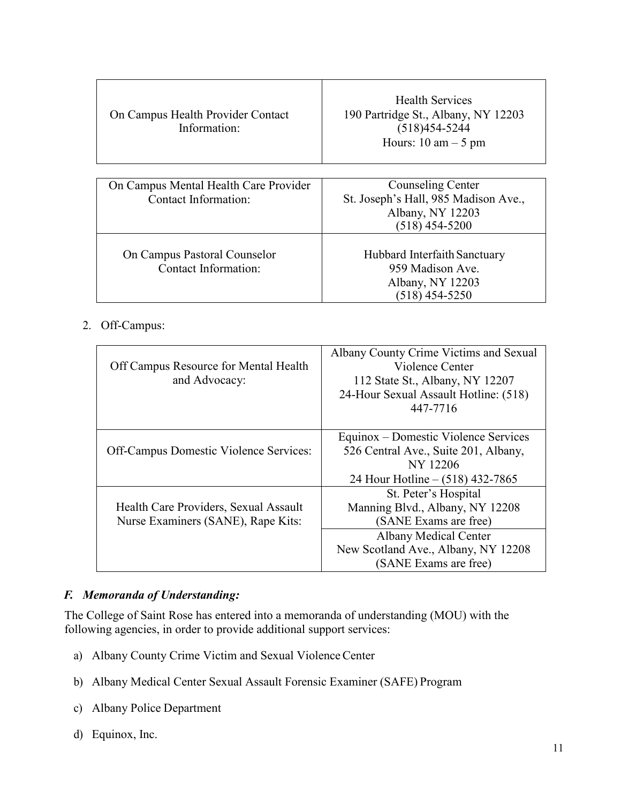| On Campus Health Provider Contact<br>Information: | <b>Health Services</b><br>190 Partridge St., Albany, NY 12203<br>$(518)454 - 5244$<br>Hours: $10 \text{ am} - 5 \text{ pm}$ |
|---------------------------------------------------|-----------------------------------------------------------------------------------------------------------------------------|
|                                                   |                                                                                                                             |
| On Campus Mental Health Care Provider             | Counseling Center                                                                                                           |
| Contact Information:                              | St. Joseph's Hall, 985 Madison Ave.,                                                                                        |
|                                                   | Albany, NY 12203                                                                                                            |
|                                                   | $(518)$ 454-5200                                                                                                            |
|                                                   |                                                                                                                             |
| On Campus Pastoral Counselor                      | Hubbard Interfaith Sanctuary                                                                                                |
| Contact Information:                              | 959 Madison Ave.                                                                                                            |
|                                                   | Albany, NY 12203                                                                                                            |
|                                                   | (518) 454-5250                                                                                                              |

## 2. Off-Campus:

| Off Campus Resource for Mental Health<br>and Advocacy:                      | Albany County Crime Victims and Sexual<br>Violence Center<br>112 State St., Albany, NY 12207<br>24-Hour Sexual Assault Hotline: (518)<br>447-7716 |  |
|-----------------------------------------------------------------------------|---------------------------------------------------------------------------------------------------------------------------------------------------|--|
| Off-Campus Domestic Violence Services:                                      | Equinox – Domestic Violence Services<br>526 Central Ave., Suite 201, Albany,<br>NY 12206<br>24 Hour Hotline $- (518)$ 432-7865                    |  |
| Health Care Providers, Sexual Assault<br>Nurse Examiners (SANE), Rape Kits: | St. Peter's Hospital<br>Manning Blvd., Albany, NY 12208<br>(SANE Exams are free)<br><b>Albany Medical Center</b>                                  |  |
|                                                                             | New Scotland Ave., Albany, NY 12208<br>(SANE Exams are free)                                                                                      |  |

# *F. Memoranda of Understanding:*

The College of Saint Rose has entered into a memoranda of understanding (MOU) with the following agencies, in order to provide additional support services:

- a) Albany County Crime Victim and Sexual Violence Center
- b) Albany Medical Center Sexual Assault Forensic Examiner (SAFE) Program
- c) Albany Police Department
- d) Equinox, Inc.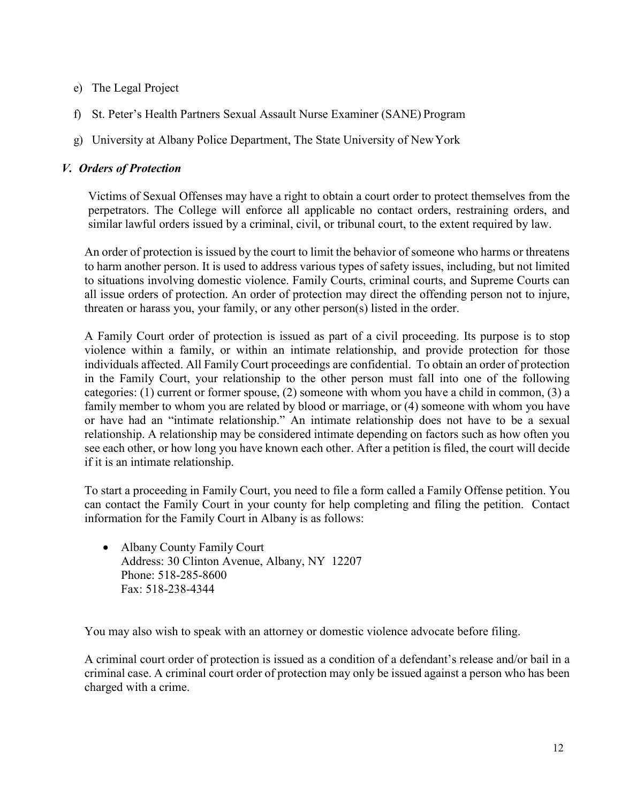- e) The Legal Project
- f) St. Peter's Health Partners Sexual Assault Nurse Examiner (SANE) Program
- g) University at Albany Police Department, The State University of NewYork

### *V. Orders of Protection*

Victims of Sexual Offenses may have a right to obtain a court order to protect themselves from the perpetrators. The College will enforce all applicable no contact orders, restraining orders, and similar lawful orders issued by a criminal, civil, or tribunal court, to the extent required by law.

An order of protection is issued by the court to limit the behavior of someone who harms or threatens to harm another person. It is used to address various types of safety issues, including, but not limited to situations involving domestic violence. Family Courts, criminal courts, and Supreme Courts can all issue orders of protection. An order of protection may direct the offending person not to injure, threaten or harass you, your family, or any other person(s) listed in the order.

A Family Court order of protection is issued as part of a civil proceeding. Its purpose is to stop violence within a family, or within an intimate relationship, and provide protection for those individuals affected. All Family Court proceedings are confidential. To obtain an order of protection in the Family Court, your relationship to the other person must fall into one of the following categories: (1) current or former spouse, (2) someone with whom you have a child in common, (3) a family member to whom you are related by blood or marriage, or (4) someone with whom you have or have had an "intimate relationship." An intimate relationship does not have to be a sexual relationship. A relationship may be considered intimate depending on factors such as how often you see each other, or how long you have known each other. After a petition is filed, the court will decide if it is an intimate relationship.

To start a proceeding in Family Court, you need to file a form called a Family Offense petition. You can contact the Family Court in your county for help completing and filing the petition. Contact information for the Family Court in Albany is as follows:

• Albany County Family Court Address: 30 Clinton Avenue, Albany, NY 12207 Phone: 518-285-8600 Fax: 518-238-4344

You may also wish to speak with an attorney or domestic violence advocate before filing.

A criminal court order of protection is issued as a condition of a defendant's release and/or bail in a criminal case. A criminal court order of protection may only be issued against a person who has been charged with a crime.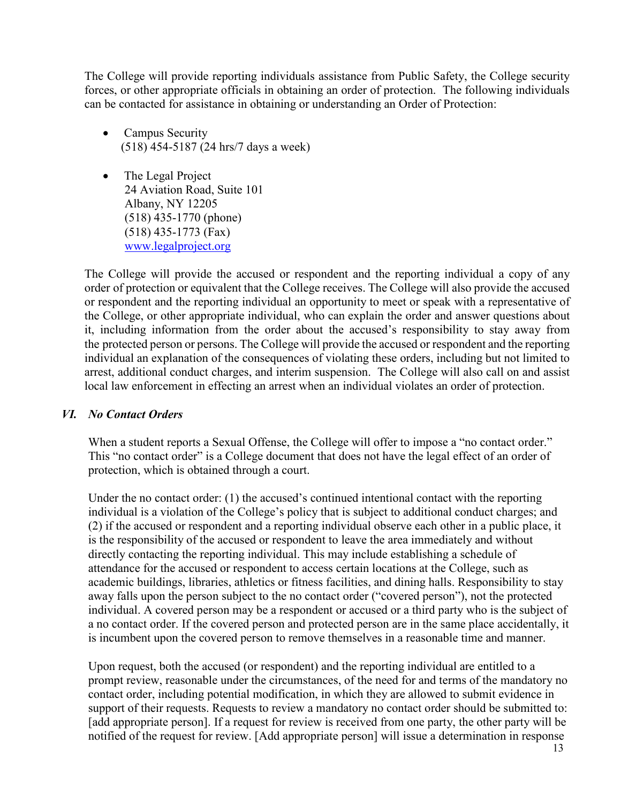The College will provide reporting individuals assistance from Public Safety, the College security forces, or other appropriate officials in obtaining an order of protection. The following individuals can be contacted for assistance in obtaining or understanding an Order of Protection:

- Campus Security (518) 454-5187 (24 hrs/7 days a week)
- The Legal Project 24 Aviation Road, Suite 101 Albany, NY 12205 (518) 435-1770 (phone) (518) 435-1773 (Fax) [www.legalproject.org](http://www.legalproject.org/)

The College will provide the accused or respondent and the reporting individual a copy of any order of protection or equivalent that the College receives. The College will also provide the accused or respondent and the reporting individual an opportunity to meet or speak with a representative of the College, or other appropriate individual, who can explain the order and answer questions about it, including information from the order about the accused's responsibility to stay away from the protected person or persons. The College will provide the accused or respondent and the reporting individual an explanation of the consequences of violating these orders, including but not limited to arrest, additional conduct charges, and interim suspension. The College will also call on and assist local law enforcement in effecting an arrest when an individual violates an order of protection.

### *VI. No Contact Orders*

When a student reports a Sexual Offense, the College will offer to impose a "no contact order." This "no contact order" is a College document that does not have the legal effect of an order of protection, which is obtained through a court.

Under the no contact order: (1) the accused's continued intentional contact with the reporting individual is a violation of the College's policy that is subject to additional conduct charges; and (2) if the accused or respondent and a reporting individual observe each other in a public place, it is the responsibility of the accused or respondent to leave the area immediately and without directly contacting the reporting individual. This may include establishing a schedule of attendance for the accused or respondent to access certain locations at the College, such as academic buildings, libraries, athletics or fitness facilities, and dining halls. Responsibility to stay away falls upon the person subject to the no contact order ("covered person"), not the protected individual. A covered person may be a respondent or accused or a third party who is the subject of a no contact order. If the covered person and protected person are in the same place accidentally, it is incumbent upon the covered person to remove themselves in a reasonable time and manner.

Upon request, both the accused (or respondent) and the reporting individual are entitled to a prompt review, reasonable under the circumstances, of the need for and terms of the mandatory no contact order, including potential modification, in which they are allowed to submit evidence in support of their requests. Requests to review a mandatory no contact order should be submitted to: [add appropriate person]. If a request for review is received from one party, the other party will be notified of the request for review. [Add appropriate person] will issue a determination in response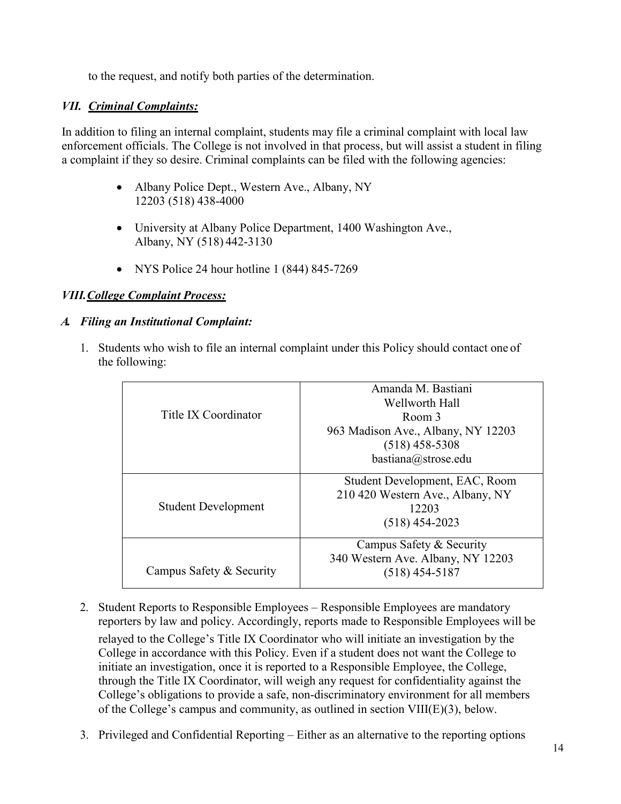to the request, and notify both parties of the determination.

### *VII. Criminal Complaints:*

In addition to filing an internal complaint, students may file a criminal complaint with local law enforcement officials. The College is not involved in that process, but will assist a student in filing a complaint if they so desire. Criminal complaints can be filed with the following agencies:

- Albany Police Dept., Western Ave., Albany, NY 12203 (518) 438-4000
- University at Albany Police Department, 1400 Washington Ave., Albany, NY (518) 442-3130
- NYS Police 24 hour hotline 1 (844) 845-7269

## *VIII.College Complaint Process:*

### *A. Filing an Institutional Complaint:*

1. Students who wish to file an internal complaint under this Policy should contact one of the following:

| Title IX Coordinator       | Amanda M. Bastiani                 |
|----------------------------|------------------------------------|
|                            | Wellworth Hall                     |
|                            | Room 3                             |
|                            | 963 Madison Ave., Albany, NY 12203 |
|                            | $(518)$ 458-5308                   |
|                            | bastiana@strose.edu                |
|                            |                                    |
|                            | Student Development, EAC, Room     |
| <b>Student Development</b> | 210 420 Western Ave., Albany, NY   |
|                            | 12203                              |
|                            | $(518)$ 454-2023                   |
|                            |                                    |
|                            | Campus Safety & Security           |
|                            | 340 Western Ave. Albany, NY 12203  |
| Campus Safety & Security   | (518) 454-5187                     |
|                            |                                    |

- 2. Student Reports to Responsible Employees Responsible Employees are mandatory reporters by law and policy. Accordingly, reports made to Responsible Employees will be relayed to the College's Title IX Coordinator who will initiate an investigation by the College in accordance with this Policy. Even if a student does not want the College to initiate an investigation, once it is reported to a Responsible Employee, the College, through the Title IX Coordinator, will weigh any request for confidentiality against the College's obligations to provide a safe, non-discriminatory environment for all members of the College's campus and community, as outlined in section VIII(E)(3), below.
- 3. Privileged and Confidential Reporting Either as an alternative to the reporting options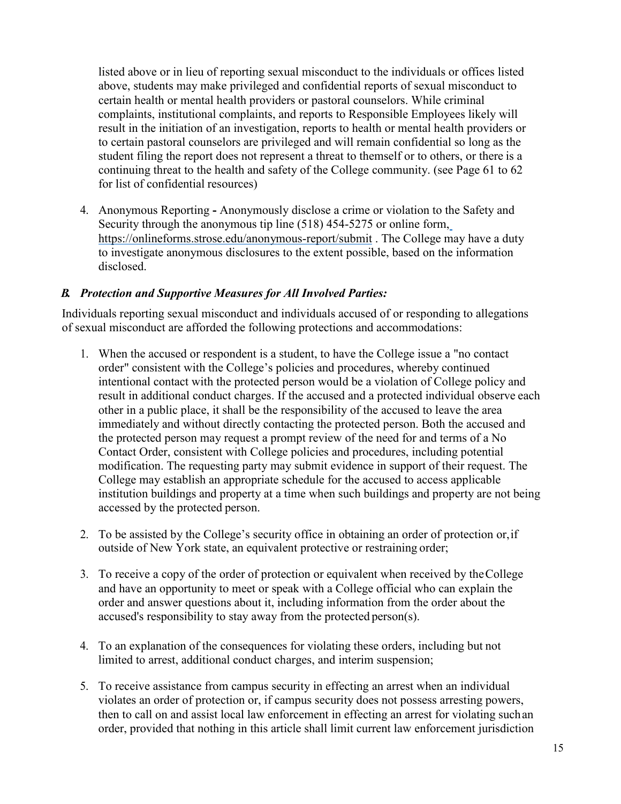listed above or in lieu of reporting sexual misconduct to the individuals or offices listed above, students may make privileged and confidential reports of sexual misconduct to certain health or mental health providers or pastoral counselors. While criminal complaints, institutional complaints, and reports to Responsible Employees likely will result in the initiation of an investigation, reports to health or mental health providers or to certain pastoral counselors are privileged and will remain confidential so long as the student filing the report does not represent a threat to themself or to others, or there is a continuing threat to the health and safety of the College community. (see Page 61 to 62 for list of confidential resources)

4. Anonymous Reporting **-** Anonymously disclose a crime or violation to the Safety and Security through the anonymous tip line (518) 454-5275 or online form, [https://onlineforms.strose.edu/anonymous-report/submit .](https://onlineforms.strose.edu/anonymous-report/submit) The College may have a duty to investigate anonymous disclosures to the extent possible, based on the information disclosed.

### *B. Protection and Supportive Measures for All Involved Parties:*

Individuals reporting sexual misconduct and individuals accused of or responding to allegations of sexual misconduct are afforded the following protections and accommodations:

- 1. When the accused or respondent is a student, to have the College issue a "no contact order" consistent with the College's policies and procedures, whereby continued intentional contact with the protected person would be a violation of College policy and result in additional conduct charges. If the accused and a protected individual observe each other in a public place, it shall be the responsibility of the accused to leave the area immediately and without directly contacting the protected person. Both the accused and the protected person may request a prompt review of the need for and terms of a No Contact Order, consistent with College policies and procedures, including potential modification. The requesting party may submit evidence in support of their request. The College may establish an appropriate schedule for the accused to access applicable institution buildings and property at a time when such buildings and property are not being accessed by the protected person.
- 2. To be assisted by the College's security office in obtaining an order of protection or, if outside of New York state, an equivalent protective or restraining order;
- 3. To receive a copy of the order of protection or equivalent when received by the College and have an opportunity to meet or speak with a College official who can explain the order and answer questions about it, including information from the order about the accused's responsibility to stay away from the protected person(s).
- 4. To an explanation of the consequences for violating these orders, including but not limited to arrest, additional conduct charges, and interim suspension;
- 5. To receive assistance from campus security in effecting an arrest when an individual violates an order of protection or, if campus security does not possess arresting powers, then to call on and assist local law enforcement in effecting an arrest for violating suchan order, provided that nothing in this article shall limit current law enforcement jurisdiction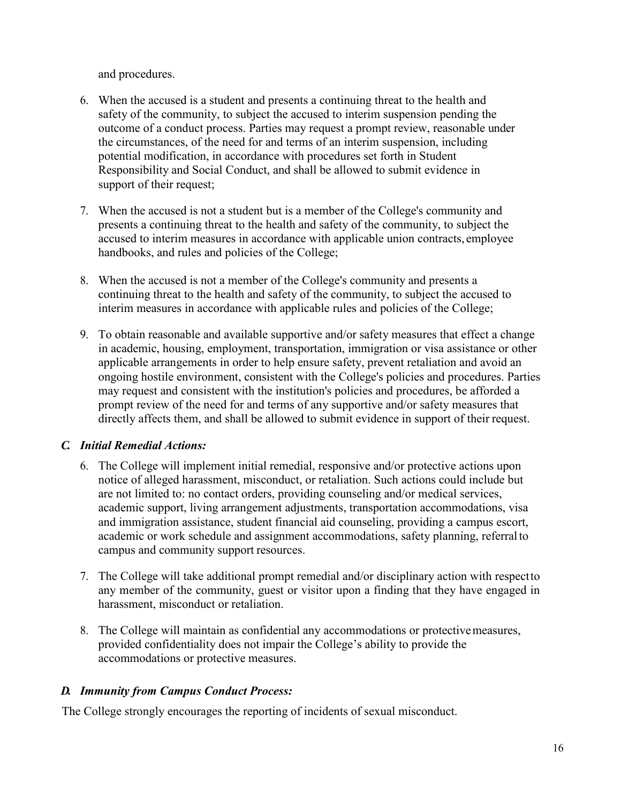and procedures.

- 6. When the accused is a student and presents a continuing threat to the health and safety of the community, to subject the accused to interim suspension pending the outcome of a conduct process. Parties may request a prompt review, reasonable under the circumstances, of the need for and terms of an interim suspension, including potential modification, in accordance with procedures set forth in Student Responsibility and Social Conduct, and shall be allowed to submit evidence in support of their request;
- 7. When the accused is not a student but is a member of the College's community and presents a continuing threat to the health and safety of the community, to subject the accused to interim measures in accordance with applicable union contracts, employee handbooks, and rules and policies of the College;
- 8. When the accused is not a member of the College's community and presents a continuing threat to the health and safety of the community, to subject the accused to interim measures in accordance with applicable rules and policies of the College;
- 9. To obtain reasonable and available supportive and/or safety measures that effect a change in academic, housing, employment, transportation, immigration or visa assistance or other applicable arrangements in order to help ensure safety, prevent retaliation and avoid an ongoing hostile environment, consistent with the College's policies and procedures. Parties may request and consistent with the institution's policies and procedures, be afforded a prompt review of the need for and terms of any supportive and/or safety measures that directly affects them, and shall be allowed to submit evidence in support of their request.

# *C. Initial Remedial Actions:*

- 6. The College will implement initial remedial, responsive and/or protective actions upon notice of alleged harassment, misconduct, or retaliation. Such actions could include but are not limited to: no contact orders, providing counseling and/or medical services, academic support, living arrangement adjustments, transportation accommodations, visa and immigration assistance, student financial aid counseling, providing a campus escort, academic or work schedule and assignment accommodations, safety planning, referral to campus and community support resources.
- 7. The College will take additional prompt remedial and/or disciplinary action with respect to any member of the community, guest or visitor upon a finding that they have engaged in harassment, misconduct or retaliation.
- 8. The College will maintain as confidential any accommodations or protectivemeasures, provided confidentiality does not impair the College's ability to provide the accommodations or protective measures.

# *D. Immunity from Campus Conduct Process:*

The College strongly encourages the reporting of incidents of sexual misconduct.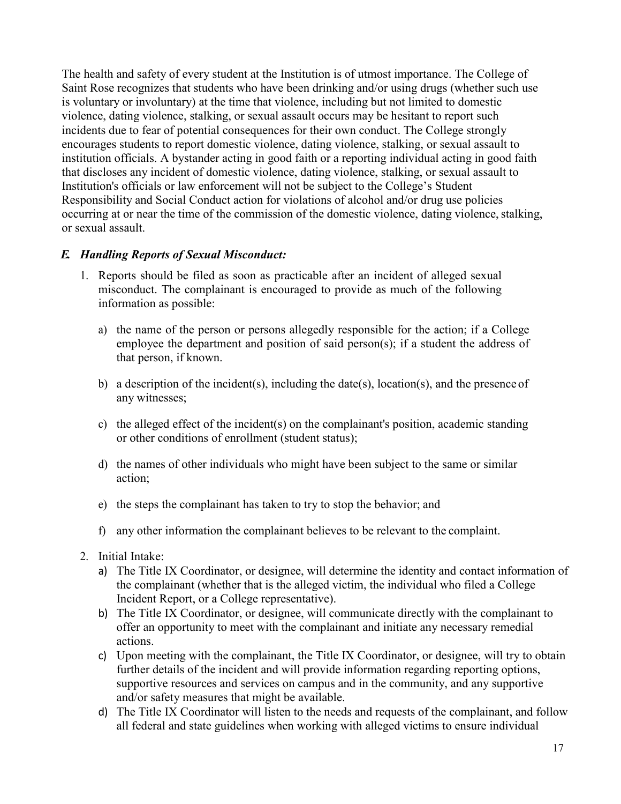The health and safety of every student at the Institution is of utmost importance. The College of Saint Rose recognizes that students who have been drinking and/or using drugs (whether such use is voluntary or involuntary) at the time that violence, including but not limited to domestic violence, dating violence, stalking, or sexual assault occurs may be hesitant to report such incidents due to fear of potential consequences for their own conduct. The College strongly encourages students to report domestic violence, dating violence, stalking, or sexual assault to institution officials. A bystander acting in good faith or a reporting individual acting in good faith that discloses any incident of domestic violence, dating violence, stalking, or sexual assault to Institution's officials or law enforcement will not be subject to the College's Student Responsibility and Social Conduct action for violations of alcohol and/or drug use policies occurring at or near the time of the commission of the domestic violence, dating violence, stalking, or sexual assault.

#### *E. Handling Reports of Sexual Misconduct:*

- 1. Reports should be filed as soon as practicable after an incident of alleged sexual misconduct. The complainant is encouraged to provide as much of the following information as possible:
	- a) the name of the person or persons allegedly responsible for the action; if a College employee the department and position of said person(s); if a student the address of that person, if known.
	- b) a description of the incident(s), including the date(s), location(s), and the presence of any witnesses;
	- c) the alleged effect of the incident(s) on the complainant's position, academic standing or other conditions of enrollment (student status);
	- d) the names of other individuals who might have been subject to the same or similar action;
	- e) the steps the complainant has taken to try to stop the behavior; and
	- f) any other information the complainant believes to be relevant to the complaint.
- 2. Initial Intake:
	- a) The Title IX Coordinator, or designee, will determine the identity and contact information of the complainant (whether that is the alleged victim, the individual who filed a College Incident Report, or a College representative).
	- b) The Title IX Coordinator, or designee, will communicate directly with the complainant to offer an opportunity to meet with the complainant and initiate any necessary remedial actions.
	- c) Upon meeting with the complainant, the Title IX Coordinator, or designee, will try to obtain further details of the incident and will provide information regarding reporting options, supportive resources and services on campus and in the community, and any supportive and/or safety measures that might be available.
	- d) The Title IX Coordinator will listen to the needs and requests of the complainant, and follow all federal and state guidelines when working with alleged victims to ensure individual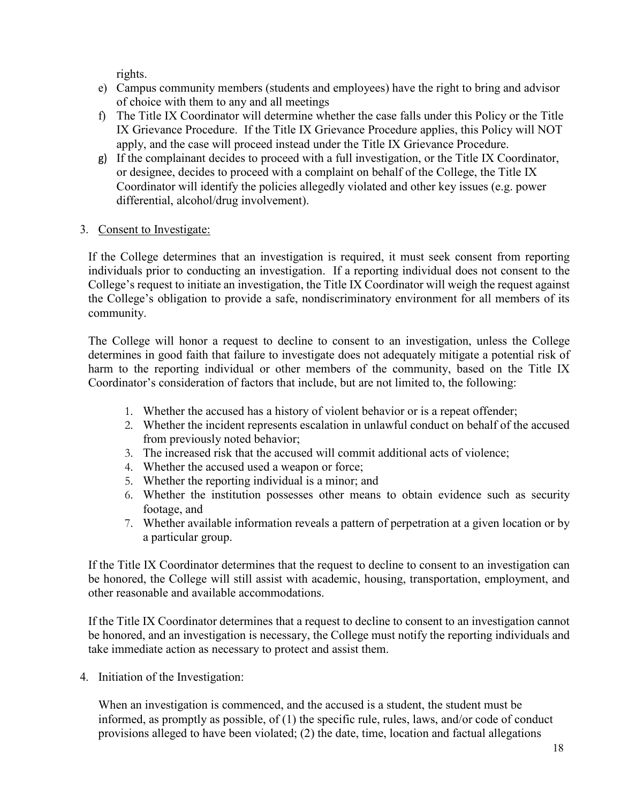rights.

- e) Campus community members (students and employees) have the right to bring and advisor of choice with them to any and all meetings
- f) The Title IX Coordinator will determine whether the case falls under this Policy or the Title IX Grievance Procedure. If the Title IX Grievance Procedure applies, this Policy will NOT apply, and the case will proceed instead under the Title IX Grievance Procedure.
- g) If the complainant decides to proceed with a full investigation, or the Title IX Coordinator, or designee, decides to proceed with a complaint on behalf of the College, the Title IX Coordinator will identify the policies allegedly violated and other key issues (e.g. power differential, alcohol/drug involvement).
- 3. Consent to Investigate:

If the College determines that an investigation is required, it must seek consent from reporting individuals prior to conducting an investigation. If a reporting individual does not consent to the College's request to initiate an investigation, the Title IX Coordinator will weigh the request against the College's obligation to provide a safe, nondiscriminatory environment for all members of its community.

The College will honor a request to decline to consent to an investigation, unless the College determines in good faith that failure to investigate does not adequately mitigate a potential risk of harm to the reporting individual or other members of the community, based on the Title IX Coordinator's consideration of factors that include, but are not limited to, the following:

- 1. Whether the accused has a history of violent behavior or is a repeat offender;
- 2. Whether the incident represents escalation in unlawful conduct on behalf of the accused from previously noted behavior;
- 3. The increased risk that the accused will commit additional acts of violence;
- 4. Whether the accused used a weapon or force;
- 5. Whether the reporting individual is a minor; and
- 6. Whether the institution possesses other means to obtain evidence such as security footage, and
- 7. Whether available information reveals a pattern of perpetration at a given location or by a particular group.

If the Title IX Coordinator determines that the request to decline to consent to an investigation can be honored, the College will still assist with academic, housing, transportation, employment, and other reasonable and available accommodations.

If the Title IX Coordinator determines that a request to decline to consent to an investigation cannot be honored, and an investigation is necessary, the College must notify the reporting individuals and take immediate action as necessary to protect and assist them.

4. Initiation of the Investigation:

 When an investigation is commenced, and the accused is a student, the student must be informed, as promptly as possible, of (1) the specific rule, rules, laws, and/or code of conduct provisions alleged to have been violated; (2) the date, time, location and factual allegations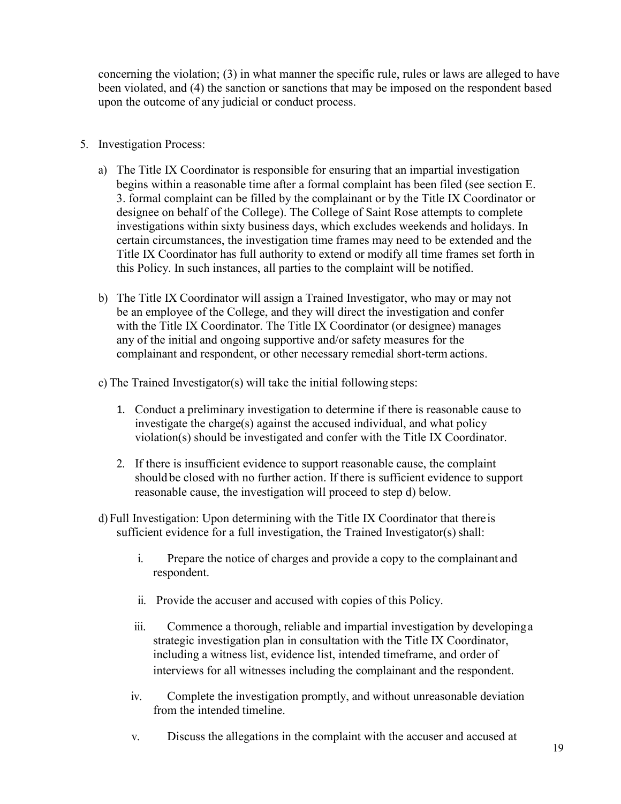concerning the violation; (3) in what manner the specific rule, rules or laws are alleged to have been violated, and (4) the sanction or sanctions that may be imposed on the respondent based upon the outcome of any judicial or conduct process.

- 5. Investigation Process:
	- a) The Title IX Coordinator is responsible for ensuring that an impartial investigation begins within a reasonable time after a formal complaint has been filed (see section E. 3. formal complaint can be filled by the complainant or by the Title IX Coordinator or designee on behalf of the College). The College of Saint Rose attempts to complete investigations within sixty business days, which excludes weekends and holidays. In certain circumstances, the investigation time frames may need to be extended and the Title IX Coordinator has full authority to extend or modify all time frames set forth in this Policy. In such instances, all parties to the complaint will be notified.
	- b) The Title IX Coordinator will assign a Trained Investigator, who may or may not be an employee of the College, and they will direct the investigation and confer with the Title IX Coordinator. The Title IX Coordinator (or designee) manages any of the initial and ongoing supportive and/or safety measures for the complainant and respondent, or other necessary remedial short-term actions.

c) The Trained Investigator(s) will take the initial following steps:

- 1. Conduct a preliminary investigation to determine if there is reasonable cause to investigate the charge(s) against the accused individual, and what policy violation(s) should be investigated and confer with the Title IX Coordinator.
- 2. If there is insufficient evidence to support reasonable cause, the complaint should be closed with no further action. If there is sufficient evidence to support reasonable cause, the investigation will proceed to step d) below.
- d) Full Investigation: Upon determining with the Title IX Coordinator that there is sufficient evidence for a full investigation, the Trained Investigator(s) shall:
	- i. Prepare the notice of charges and provide a copy to the complainant and respondent.
	- ii. Provide the accuser and accused with copies of this Policy.
	- iii. Commence a thorough, reliable and impartial investigation by developing a strategic investigation plan in consultation with the Title IX Coordinator, including a witness list, evidence list, intended timeframe, and order of interviews for all witnesses including the complainant and the respondent.
	- iv. Complete the investigation promptly, and without unreasonable deviation from the intended timeline.
	- v. Discuss the allegations in the complaint with the accuser and accused at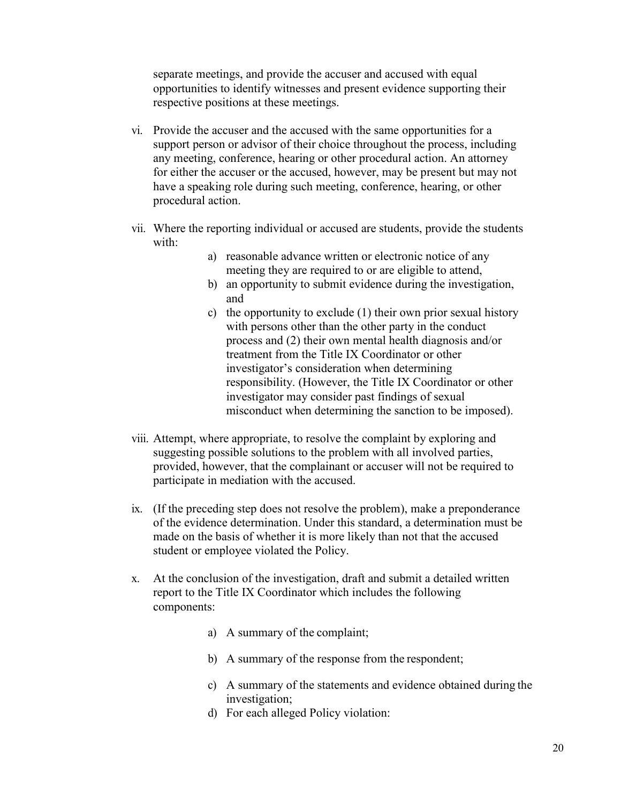separate meetings, and provide the accuser and accused with equal opportunities to identify witnesses and present evidence supporting their respective positions at these meetings.

- vi. Provide the accuser and the accused with the same opportunities for a support person or advisor of their choice throughout the process, including any meeting, conference, hearing or other procedural action. An attorney for either the accuser or the accused, however, may be present but may not have a speaking role during such meeting, conference, hearing, or other procedural action.
- vii. Where the reporting individual or accused are students, provide the students with:
	- a) reasonable advance written or electronic notice of any meeting they are required to or are eligible to attend,
	- b) an opportunity to submit evidence during the investigation, and
	- c) the opportunity to exclude (1) their own prior sexual history with persons other than the other party in the conduct process and (2) their own mental health diagnosis and/or treatment from the Title IX Coordinator or other investigator's consideration when determining responsibility. (However, the Title IX Coordinator or other investigator may consider past findings of sexual misconduct when determining the sanction to be imposed).
- viii. Attempt, where appropriate, to resolve the complaint by exploring and suggesting possible solutions to the problem with all involved parties, provided, however, that the complainant or accuser will not be required to participate in mediation with the accused.
- ix. (If the preceding step does not resolve the problem), make a preponderance of the evidence determination. Under this standard, a determination must be made on the basis of whether it is more likely than not that the accused student or employee violated the Policy.
- x. At the conclusion of the investigation, draft and submit a detailed written report to the Title IX Coordinator which includes the following components:
	- a) A summary of the complaint;
	- b) A summary of the response from the respondent;
	- c) A summary of the statements and evidence obtained during the investigation;
	- d) For each alleged Policy violation: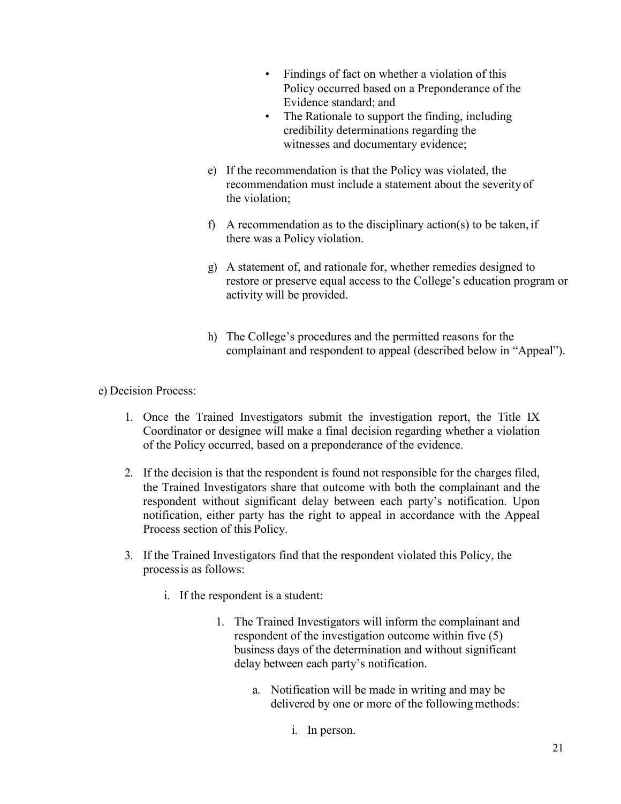- Findings of fact on whether a violation of this Policy occurred based on a Preponderance of the Evidence standard; and
- The Rationale to support the finding, including credibility determinations regarding the witnesses and documentary evidence;
- e) If the recommendation is that the Policy was violated, the recommendation must include a statement about the severity of the violation;
- f) A recommendation as to the disciplinary action(s) to be taken, if there was a Policy violation.
- g) A statement of, and rationale for, whether remedies designed to restore or preserve equal access to the College's education program or activity will be provided.
- h) The College's procedures and the permitted reasons for the complainant and respondent to appeal (described below in "Appeal").

e) Decision Process:

- 1. Once the Trained Investigators submit the investigation report, the Title IX Coordinator or designee will make a final decision regarding whether a violation of the Policy occurred, based on a preponderance of the evidence.
- 2. If the decision is that the respondent is found not responsible for the charges filed, the Trained Investigators share that outcome with both the complainant and the respondent without significant delay between each party's notification. Upon notification, either party has the right to appeal in accordance with the Appeal Process section of this Policy.
- 3. If the Trained Investigators find that the respondent violated this Policy, the processis as follows:
	- i. If the respondent is a student:
		- 1. The Trained Investigators will inform the complainant and respondent of the investigation outcome within five (5) business days of the determination and without significant delay between each party's notification.
			- a. Notification will be made in writing and may be delivered by one or more of the following methods:
				- i. In person.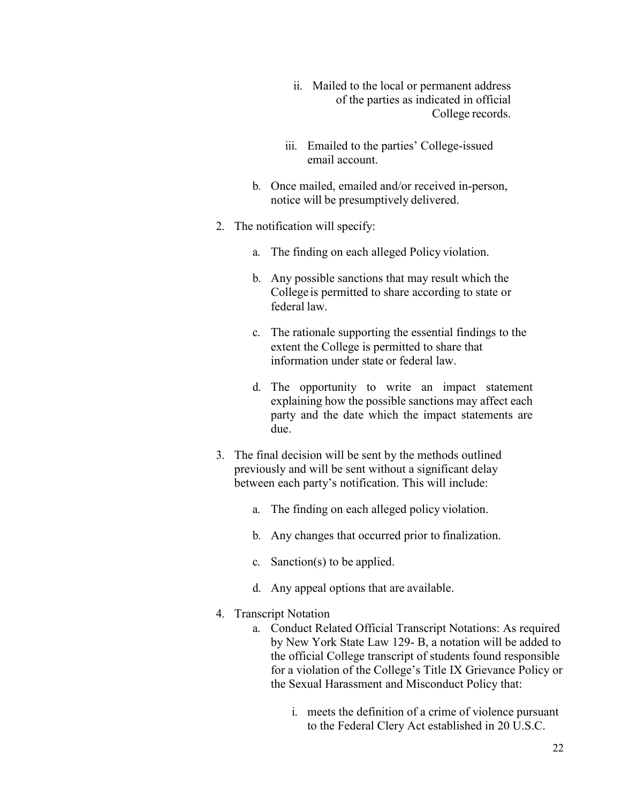- ii. Mailed to the local or permanent address of the parties as indicated in official College records.
- iii. Emailed to the parties' College-issued email account.
- b. Once mailed, emailed and/or received in-person, notice will be presumptively delivered.
- 2. The notification will specify:
	- a. The finding on each alleged Policy violation.
	- b. Any possible sanctions that may result which the College is permitted to share according to state or federal law.
	- c. The rationale supporting the essential findings to the extent the College is permitted to share that information under state or federal law.
	- d. The opportunity to write an impact statement explaining how the possible sanctions may affect each party and the date which the impact statements are due.
- 3. The final decision will be sent by the methods outlined previously and will be sent without a significant delay between each party's notification. This will include:
	- a. The finding on each alleged policy violation.
	- b. Any changes that occurred prior to finalization.
	- c. Sanction(s) to be applied.
	- d. Any appeal options that are available.
- 4. Transcript Notation
	- a. Conduct Related Official Transcript Notations: As required by New York State Law 129- B, a notation will be added to the official College transcript of students found responsible for a violation of the College's Title IX Grievance Policy or the Sexual Harassment and Misconduct Policy that:
		- i. meets the definition of a crime of violence pursuant to the Federal Clery Act established in 20 U.S.C.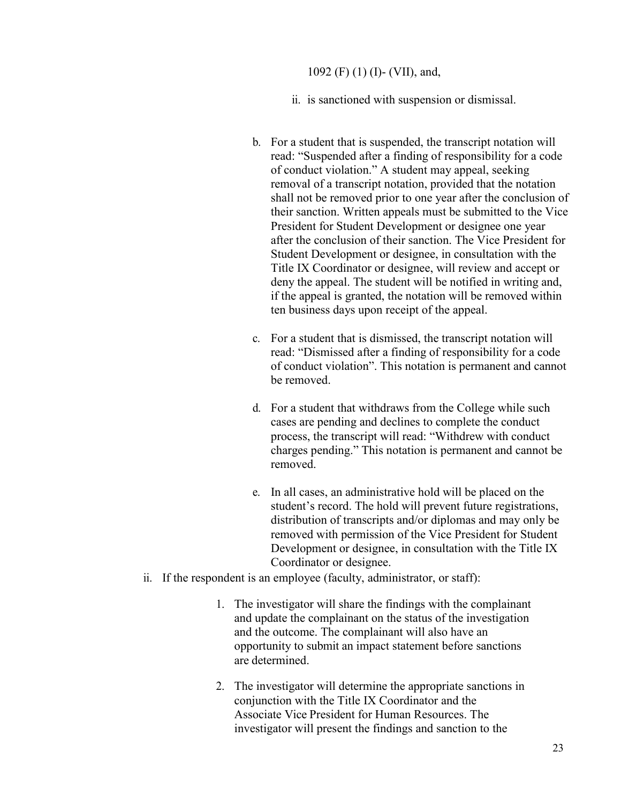1092 (F) (1) (I)- (VII), and,

ii. is sanctioned with suspension or dismissal.

- b. For a student that is suspended, the transcript notation will read: "Suspended after a finding of responsibility for a code of conduct violation." A student may appeal, seeking removal of a transcript notation, provided that the notation shall not be removed prior to one year after the conclusion of their sanction. Written appeals must be submitted to the Vice President for Student Development or designee one year after the conclusion of their sanction. The Vice President for Student Development or designee, in consultation with the Title IX Coordinator or designee, will review and accept or deny the appeal. The student will be notified in writing and, if the appeal is granted, the notation will be removed within ten business days upon receipt of the appeal.
- c. For a student that is dismissed, the transcript notation will read: "Dismissed after a finding of responsibility for a code of conduct violation". This notation is permanent and cannot be removed.
- d. For a student that withdraws from the College while such cases are pending and declines to complete the conduct process, the transcript will read: "Withdrew with conduct charges pending." This notation is permanent and cannot be removed.
- e. In all cases, an administrative hold will be placed on the student's record. The hold will prevent future registrations, distribution of transcripts and/or diplomas and may only be removed with permission of the Vice President for Student Development or designee, in consultation with the Title IX Coordinator or designee.
- ii. If the respondent is an employee (faculty, administrator, or staff):
	- 1. The investigator will share the findings with the complainant and update the complainant on the status of the investigation and the outcome. The complainant will also have an opportunity to submit an impact statement before sanctions are determined.
	- 2. The investigator will determine the appropriate sanctions in conjunction with the Title IX Coordinator and the Associate Vice President for Human Resources. The investigator will present the findings and sanction to the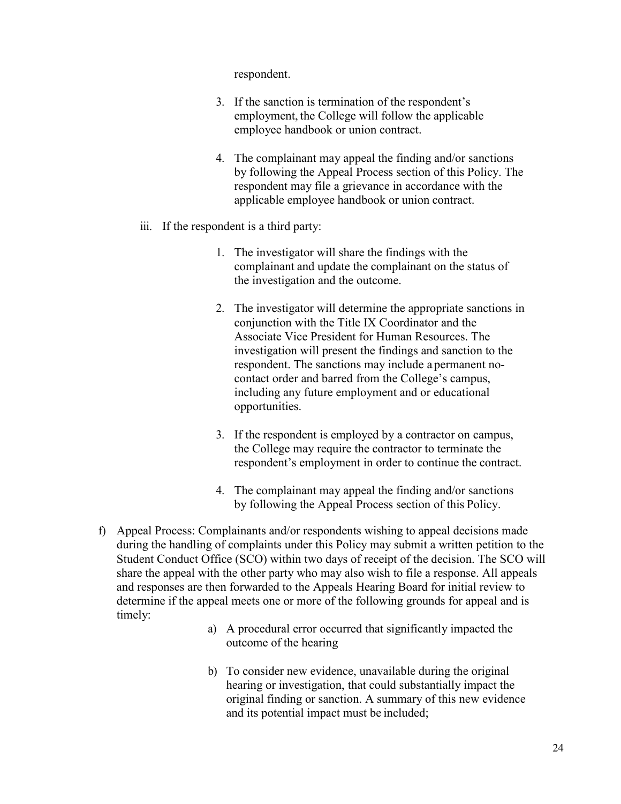respondent.

- 3. If the sanction is termination of the respondent's employment, the College will follow the applicable employee handbook or union contract.
- 4. The complainant may appeal the finding and/or sanctions by following the Appeal Process section of this Policy. The respondent may file a grievance in accordance with the applicable employee handbook or union contract.
- iii. If the respondent is a third party:
	- 1. The investigator will share the findings with the complainant and update the complainant on the status of the investigation and the outcome.
	- 2. The investigator will determine the appropriate sanctions in conjunction with the Title IX Coordinator and the Associate Vice President for Human Resources. The investigation will present the findings and sanction to the respondent. The sanctions may include a permanent nocontact order and barred from the College's campus, including any future employment and or educational opportunities.
	- 3. If the respondent is employed by a contractor on campus, the College may require the contractor to terminate the respondent's employment in order to continue the contract.
	- 4. The complainant may appeal the finding and/or sanctions by following the Appeal Process section of this Policy.
- f) Appeal Process: Complainants and/or respondents wishing to appeal decisions made during the handling of complaints under this Policy may submit a written petition to the Student Conduct Office (SCO) within two days of receipt of the decision. The SCO will share the appeal with the other party who may also wish to file a response. All appeals and responses are then forwarded to the Appeals Hearing Board for initial review to determine if the appeal meets one or more of the following grounds for appeal and is timely:
	- a) A procedural error occurred that significantly impacted the outcome of the hearing
	- b) To consider new evidence, unavailable during the original hearing or investigation, that could substantially impact the original finding or sanction. A summary of this new evidence and its potential impact must be included;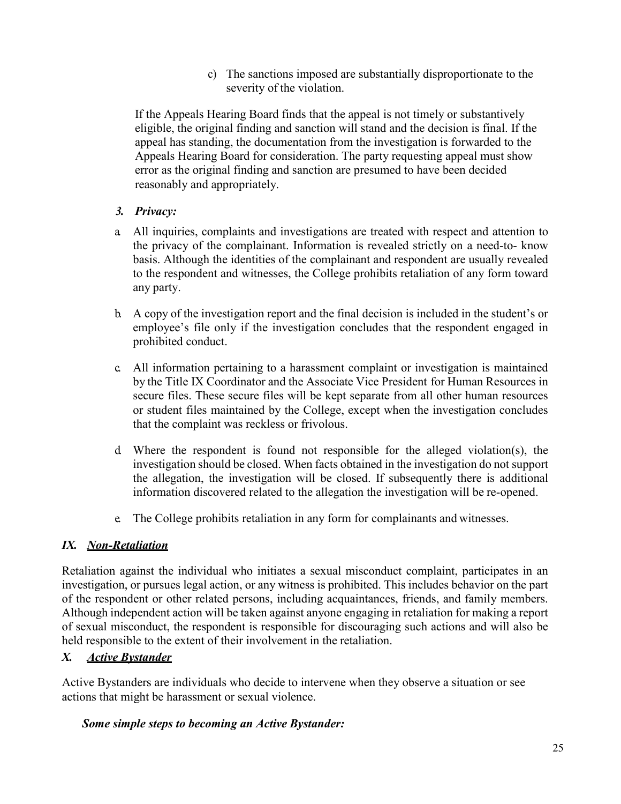c) The sanctions imposed are substantially disproportionate to the severity of the violation.

If the Appeals Hearing Board finds that the appeal is not timely or substantively eligible, the original finding and sanction will stand and the decision is final. If the appeal has standing, the documentation from the investigation is forwarded to the Appeals Hearing Board for consideration. The party requesting appeal must show error as the original finding and sanction are presumed to have been decided reasonably and appropriately.

## *3. Privacy:*

- a. All inquiries, complaints and investigations are treated with respect and attention to the privacy of the complainant. Information is revealed strictly on a need-to- know basis. Although the identities of the complainant and respondent are usually revealed to the respondent and witnesses, the College prohibits retaliation of any form toward any party.
- b. A copy of the investigation report and the final decision is included in the student's or employee's file only if the investigation concludes that the respondent engaged in prohibited conduct.
- c. All information pertaining to a harassment complaint or investigation is maintained by the Title IX Coordinator and the Associate Vice President for Human Resources in secure files. These secure files will be kept separate from all other human resources or student files maintained by the College, except when the investigation concludes that the complaint was reckless or frivolous.
- d. Where the respondent is found not responsible for the alleged violation(s), the investigation should be closed. When facts obtained in the investigation do not support the allegation, the investigation will be closed. If subsequently there is additional information discovered related to the allegation the investigation will be re-opened.
- e. The College prohibits retaliation in any form for complainants and witnesses.

# *IX. Non-Retaliation*

Retaliation against the individual who initiates a sexual misconduct complaint, participates in an investigation, or pursues legal action, or any witness is prohibited. This includes behavior on the part of the respondent or other related persons, including acquaintances, friends, and family members. Although independent action will be taken against anyone engaging in retaliation for making a report of sexual misconduct, the respondent is responsible for discouraging such actions and will also be held responsible to the extent of their involvement in the retaliation.

# *X. Active Bystander*

Active Bystanders are individuals who decide to intervene when they observe a situation or see actions that might be harassment or sexual violence.

### *Some simple steps to becoming an Active Bystander:*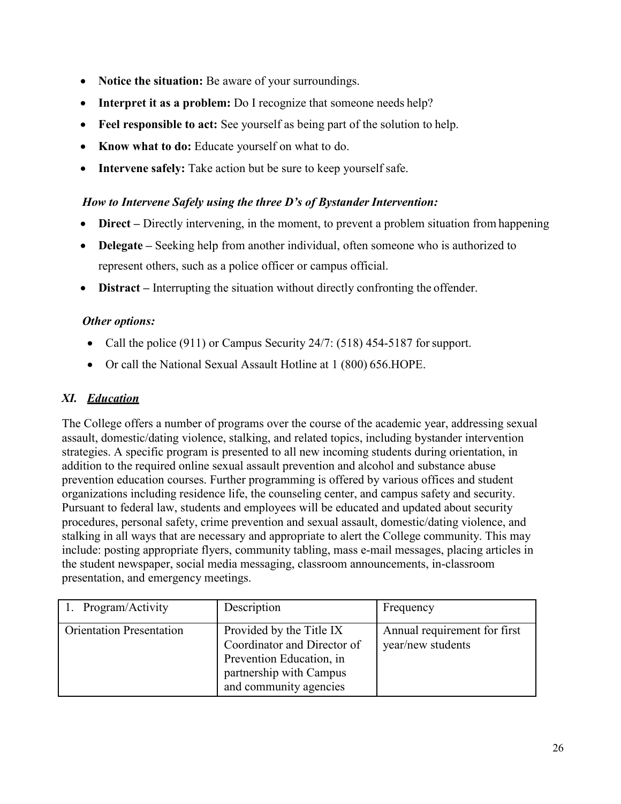- **Notice the situation:** Be aware of your surroundings.
- **Interpret it as a problem:** Do I recognize that someone needs help?
- **Feel responsible to act:** See yourself as being part of the solution to help.
- **Know what to do:** Educate yourself on what to do.
- **Intervene safely:** Take action but be sure to keep yourself safe.

### *How to Intervene Safely using the three D's of Bystander Intervention:*

- **Direct** Directly intervening, in the moment, to prevent a problem situation from happening
- **Delegate** Seeking help from another individual, often someone who is authorized to represent others, such as a police officer or campus official.
- **Distract** Interrupting the situation without directly confronting the offender.

#### *Other options:*

- Call the police (911) or Campus Security 24/7: (518) 454-5187 for support.
- Or call the National Sexual Assault Hotline at 1 (800) 656. HOPE.

### *XI. Education*

The College offers a number of programs over the course of the academic year, addressing sexual assault, domestic/dating violence, stalking, and related topics, including bystander intervention strategies. A specific program is presented to all new incoming students during orientation, in addition to the required online sexual assault prevention and alcohol and substance abuse prevention education courses. Further programming is offered by various offices and student organizations including residence life, the counseling center, and campus safety and security. Pursuant to federal law, students and employees will be educated and updated about security procedures, personal safety, crime prevention and sexual assault, domestic/dating violence, and stalking in all ways that are necessary and appropriate to alert the College community. This may include: posting appropriate flyers, community tabling, mass e-mail messages, placing articles in the student newspaper, social media messaging, classroom announcements, in-classroom presentation, and emergency meetings.

| Program/Activity                | Description                                                                                                                              | Frequency                                         |
|---------------------------------|------------------------------------------------------------------------------------------------------------------------------------------|---------------------------------------------------|
| <b>Orientation Presentation</b> | Provided by the Title IX<br>Coordinator and Director of<br>Prevention Education, in<br>partnership with Campus<br>and community agencies | Annual requirement for first<br>year/new students |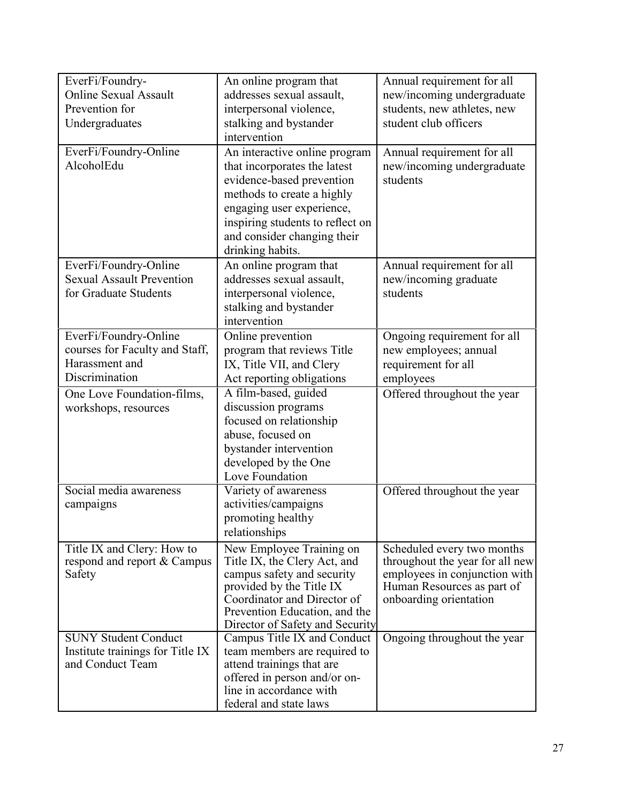| EverFi/Foundry-<br><b>Online Sexual Assault</b><br>Prevention for<br>Undergraduates         | An online program that<br>addresses sexual assault,<br>interpersonal violence,<br>stalking and bystander<br>intervention                                                                                                                     | Annual requirement for all<br>new/incoming undergraduate<br>students, new athletes, new<br>student club officers                                       |
|---------------------------------------------------------------------------------------------|----------------------------------------------------------------------------------------------------------------------------------------------------------------------------------------------------------------------------------------------|--------------------------------------------------------------------------------------------------------------------------------------------------------|
| EverFi/Foundry-Online<br>AlcoholEdu                                                         | An interactive online program<br>that incorporates the latest<br>evidence-based prevention<br>methods to create a highly<br>engaging user experience,<br>inspiring students to reflect on<br>and consider changing their<br>drinking habits. | Annual requirement for all<br>new/incoming undergraduate<br>students                                                                                   |
| EverFi/Foundry-Online<br><b>Sexual Assault Prevention</b><br>for Graduate Students          | An online program that<br>addresses sexual assault,<br>interpersonal violence,<br>stalking and bystander<br>intervention                                                                                                                     | Annual requirement for all<br>new/incoming graduate<br>students                                                                                        |
| EverFi/Foundry-Online<br>courses for Faculty and Staff,<br>Harassment and<br>Discrimination | Online prevention<br>program that reviews Title<br>IX, Title VII, and Clery<br>Act reporting obligations                                                                                                                                     | Ongoing requirement for all<br>new employees; annual<br>requirement for all<br>employees                                                               |
| One Love Foundation-films,<br>workshops, resources                                          | A film-based, guided<br>discussion programs<br>focused on relationship<br>abuse, focused on<br>bystander intervention<br>developed by the One<br>Love Foundation                                                                             | Offered throughout the year                                                                                                                            |
| Social media awareness<br>campaigns                                                         | Variety of awareness<br>activities/campaigns<br>promoting healthy<br>relationships                                                                                                                                                           | Offered throughout the year                                                                                                                            |
| Title IX and Clery: How to<br>respond and report & Campus<br>Safety                         | New Employee Training on<br>Title IX, the Clery Act, and<br>campus safety and security<br>provided by the Title IX<br>Coordinator and Director of<br>Prevention Education, and the<br>Director of Safety and Security                        | Scheduled every two months<br>throughout the year for all new<br>employees in conjunction with<br>Human Resources as part of<br>onboarding orientation |
| <b>SUNY Student Conduct</b><br>Institute trainings for Title IX<br>and Conduct Team         | Campus Title IX and Conduct<br>team members are required to<br>attend trainings that are<br>offered in person and/or on-<br>line in accordance with<br>federal and state laws                                                                | Ongoing throughout the year                                                                                                                            |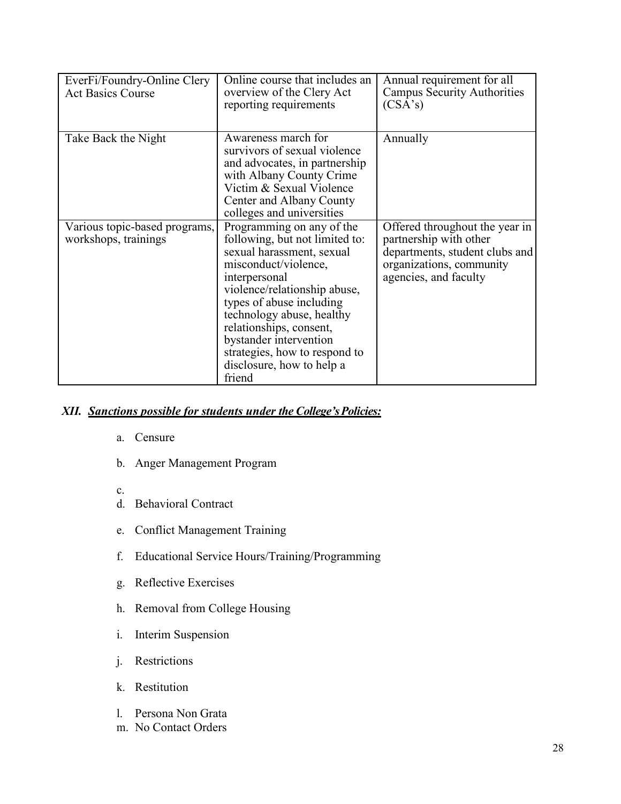| EverFi/Foundry-Online Clery<br><b>Act Basics Course</b> | Online course that includes an<br>overview of the Clery Act<br>reporting requirements                                                                                                                                                                                                                                                                   | Annual requirement for all<br><b>Campus Security Authorities</b><br>(CSA's)                                                                     |
|---------------------------------------------------------|---------------------------------------------------------------------------------------------------------------------------------------------------------------------------------------------------------------------------------------------------------------------------------------------------------------------------------------------------------|-------------------------------------------------------------------------------------------------------------------------------------------------|
| Take Back the Night                                     | Awareness march for<br>survivors of sexual violence<br>and advocates, in partnership<br>with Albany County Crime<br>Victim & Sexual Violence<br>Center and Albany County<br>colleges and universities                                                                                                                                                   | Annually                                                                                                                                        |
| Various topic-based programs,<br>workshops, trainings   | Programming on any of the<br>following, but not limited to:<br>sexual harassment, sexual<br>misconduct/violence,<br>interpersonal<br>violence/relationship abuse,<br>types of abuse including<br>technology abuse, healthy<br>relationships, consent,<br>bystander intervention<br>strategies, how to respond to<br>disclosure, how to help a<br>friend | Offered throughout the year in<br>partnership with other<br>departments, student clubs and<br>organizations, community<br>agencies, and faculty |

#### *XII. Sanctions possible for students under the College'sPolicies:*

- a. Censure
- b. Anger Management Program
- c.
- d. Behavioral Contract
- e. Conflict Management Training
- f. Educational Service Hours/Training/Programming
- g. Reflective Exercises
- h. Removal from College Housing
- i. Interim Suspension
- j. Restrictions
- k. Restitution
- l. Persona Non Grata
- m. No Contact Orders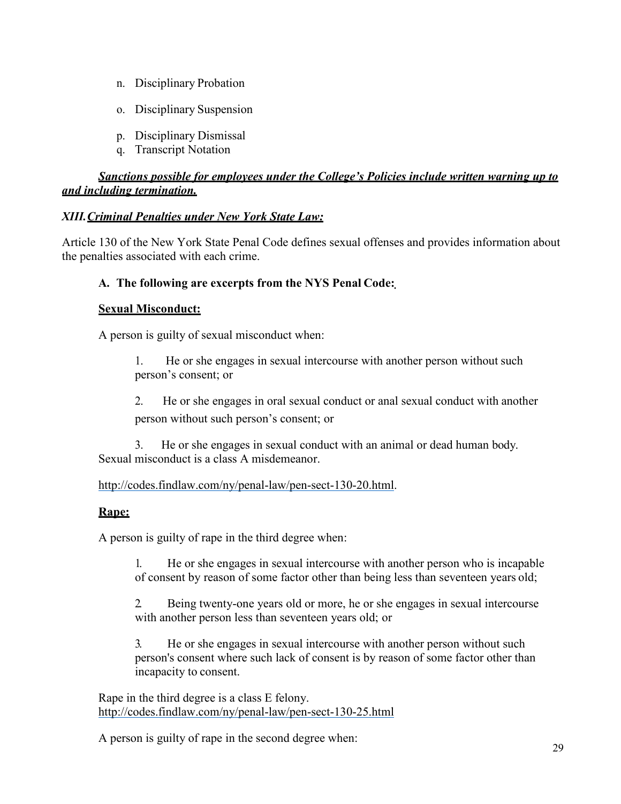- n. Disciplinary Probation
- o. Disciplinary Suspension
- p. Disciplinary Dismissal
- q. Transcript Notation

## *Sanctions possible for employees under the College's Policies include written warning up to and including termination.*

### *XIII.Criminal Penalties under New York State Law:*

Article 130 of the New York State Penal Code defines sexual offenses and provides information about the penalties associated with each crime.

### **A. The following are excerpts from the NYS Penal Code:**

#### **Sexual Misconduct:**

A person is guilty of sexual misconduct when:

1. He or she engages in sexual intercourse with another person without such person's consent; or

2. He or she engages in oral sexual conduct or anal sexual conduct with another person without such person's consent; or

3. He or she engages in sexual conduct with an animal or dead human body. Sexual misconduct is a class A misdemeanor.

### [http://codes.findlaw.com/ny/penal-law/pen-sect-130-20.html.](http://codes.findlaw.com/ny/penal-law/pen-sect-130-20.html)

### **Rape:**

A person is guilty of rape in the third degree when:

1. He or she engages in sexual intercourse with another person who is incapable of consent by reason of some factor other than being less than seventeen years old;

2. Being twenty-one years old or more, he or she engages in sexual intercourse with another person less than seventeen years old; or

3. He or she engages in sexual intercourse with another person without such person's consent where such lack of consent is by reason of some factor other than incapacity to consent.

Rape in the third degree is a class E felony. <http://codes.findlaw.com/ny/penal-law/pen-sect-130-25.html>

A person is guilty of rape in the second degree when: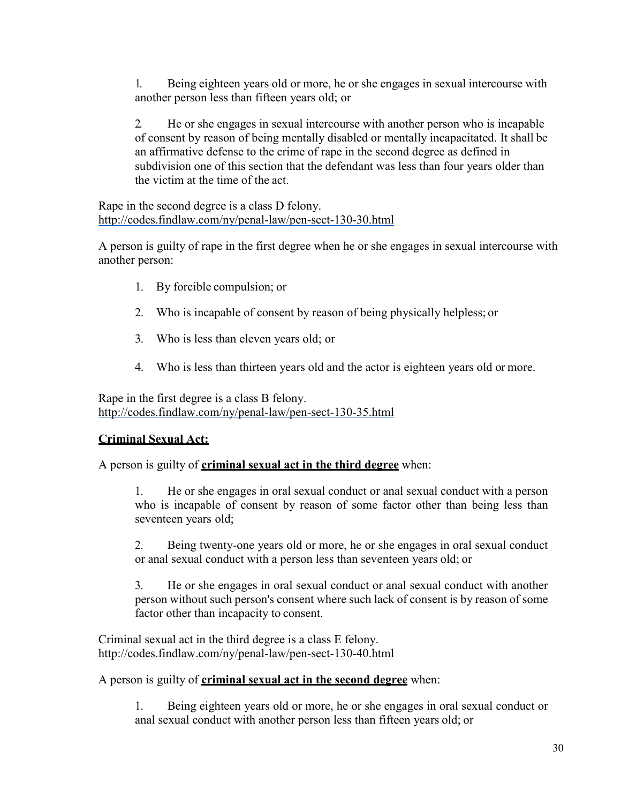1. Being eighteen years old or more, he or she engages in sexual intercourse with another person less than fifteen years old; or

2. He or she engages in sexual intercourse with another person who is incapable of consent by reason of being mentally disabled or mentally incapacitated. It shall be an affirmative defense to the crime of rape in the second degree as defined in subdivision one of this section that the defendant was less than four years older than the victim at the time of the act.

Rape in the second degree is a class D felony. <http://codes.findlaw.com/ny/penal-law/pen-sect-130-30.html>

A person is guilty of rape in the first degree when he or she engages in sexual intercourse with another person:

- 1. By forcible compulsion; or
- 2. Who is incapable of consent by reason of being physically helpless; or
- 3. Who is less than eleven years old; or
- 4. Who is less than thirteen years old and the actor is eighteen years old or more.

Rape in the first degree is a class B felony. <http://codes.findlaw.com/ny/penal-law/pen-sect-130-35.html>

#### **Criminal Sexual Act:**

A person is guilty of **criminal sexual act in the third degree** when:

1. He or she engages in oral sexual conduct or anal sexual conduct with a person who is incapable of consent by reason of some factor other than being less than seventeen years old;

2. Being twenty-one years old or more, he or she engages in oral sexual conduct or anal sexual conduct with a person less than seventeen years old; or

3. He or she engages in oral sexual conduct or anal sexual conduct with another person without such person's consent where such lack of consent is by reason of some factor other than incapacity to consent.

Criminal sexual act in the third degree is a class E felony. <http://codes.findlaw.com/ny/penal-law/pen-sect-130-40.html>

#### A person is guilty of **criminal sexual act in the second degree** when:

1. Being eighteen years old or more, he or she engages in oral sexual conduct or anal sexual conduct with another person less than fifteen years old; or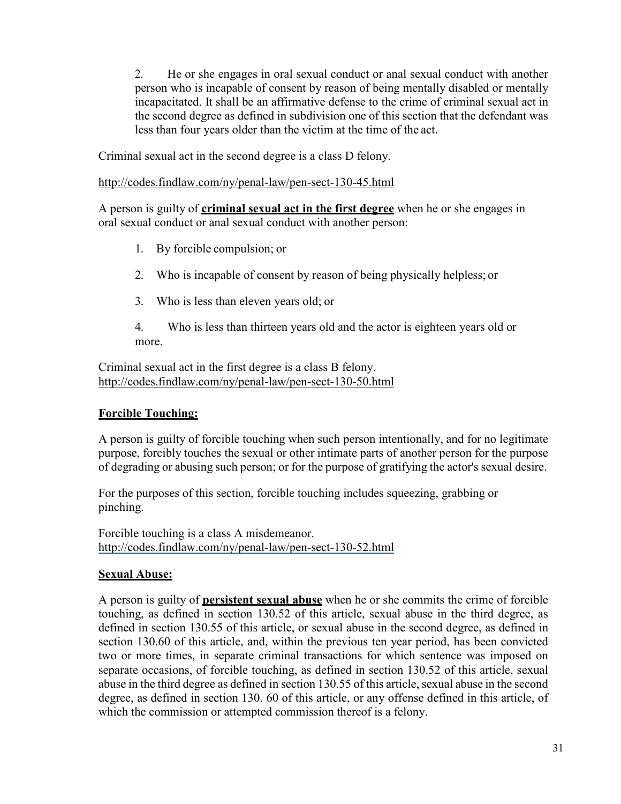2. He or she engages in oral sexual conduct or anal sexual conduct with another person who is incapable of consent by reason of being mentally disabled or mentally incapacitated. It shall be an affirmative defense to the crime of criminal sexual act in the second degree as defined in subdivision one of this section that the defendant was less than four years older than the victim at the time of the act.

Criminal sexual act in the second degree is a class D felony.

<http://codes.findlaw.com/ny/penal-law/pen-sect-130-45.html>

A person is guilty of **criminal sexual act in the first degree** when he or she engages in oral sexual conduct or anal sexual conduct with another person:

- 1. By forcible compulsion; or
- 2. Who is incapable of consent by reason of being physically helpless; or
- 3. Who is less than eleven years old; or
- 4. Who is less than thirteen years old and the actor is eighteen years old or more.

Criminal sexual act in the first degree is a class B felony. <http://codes.findlaw.com/ny/penal-law/pen-sect-130-50.html>

### **Forcible Touching:**

A person is guilty of forcible touching when such person intentionally, and for no legitimate purpose, forcibly touches the sexual or other intimate parts of another person for the purpose of degrading or abusing such person; or for the purpose of gratifying the actor's sexual desire.

For the purposes of this section, forcible touching includes squeezing, grabbing or pinching.

Forcible touching is a class A misdemeanor. <http://codes.findlaw.com/ny/penal-law/pen-sect-130-52.html>

### **Sexual Abuse:**

A person is guilty of **persistent sexual abuse** when he or she commits the crime of forcible touching, as defined in section 130.52 of this article, sexual abuse in the third degree, as defined in section 130.55 of this article, or sexual abuse in the second degree, as defined in section 130.60 of this article, and, within the previous ten year period, has been convicted two or more times, in separate criminal transactions for which sentence was imposed on separate occasions, of forcible touching, as defined in section 130.52 of this article, sexual abuse in the third degree as defined in section 130.55 of this article, sexual abuse in the second degree, as defined in section 130. 60 of this article, or any offense defined in this article, of which the commission or attempted commission thereof is a felony.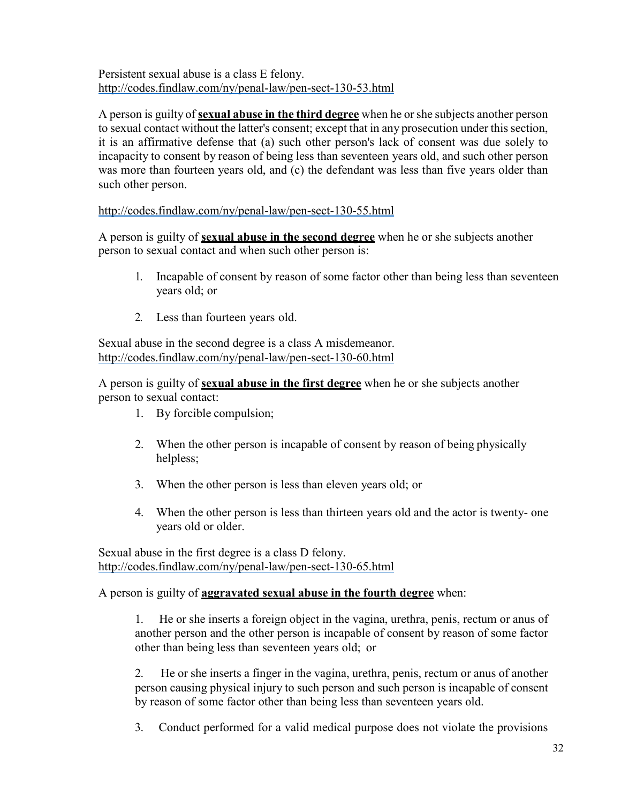Persistent sexual abuse is a class E felony. <http://codes.findlaw.com/ny/penal-law/pen-sect-130-53.html>

A person is guilty of **sexual abuse in the third degree** when he or she subjects another person to sexual contact without the latter's consent; except that in any prosecution under this section, it is an affirmative defense that (a) such other person's lack of consent was due solely to incapacity to consent by reason of being less than seventeen years old, and such other person was more than fourteen years old, and (c) the defendant was less than five years older than such other person.

<http://codes.findlaw.com/ny/penal-law/pen-sect-130-55.html>

A person is guilty of **sexual abuse in the second degree** when he or she subjects another person to sexual contact and when such other person is:

- 1. Incapable of consent by reason of some factor other than being less than seventeen years old; or
- 2. Less than fourteen years old.

Sexual abuse in the second degree is a class A misdemeanor. <http://codes.findlaw.com/ny/penal-law/pen-sect-130-60.html>

A person is guilty of **sexual abuse in the first degree** when he or she subjects another person to sexual contact:

- 1. By forcible compulsion;
- 2. When the other person is incapable of consent by reason of being physically helpless;
- 3. When the other person is less than eleven years old; or
- 4. When the other person is less than thirteen years old and the actor is twenty- one years old or older.

Sexual abuse in the first degree is a class D felony. <http://codes.findlaw.com/ny/penal-law/pen-sect-130-65.html>

A person is guilty of **aggravated sexual abuse in the fourth degree** when:

1. He or she inserts a foreign object in the vagina, urethra, penis, rectum or anus of another person and the other person is incapable of consent by reason of some factor other than being less than seventeen years old;  or

2. He or she inserts a finger in the vagina, urethra, penis, rectum or anus of another person causing physical injury to such person and such person is incapable of consent by reason of some factor other than being less than seventeen years old.

3. Conduct performed for a valid medical purpose does not violate the provisions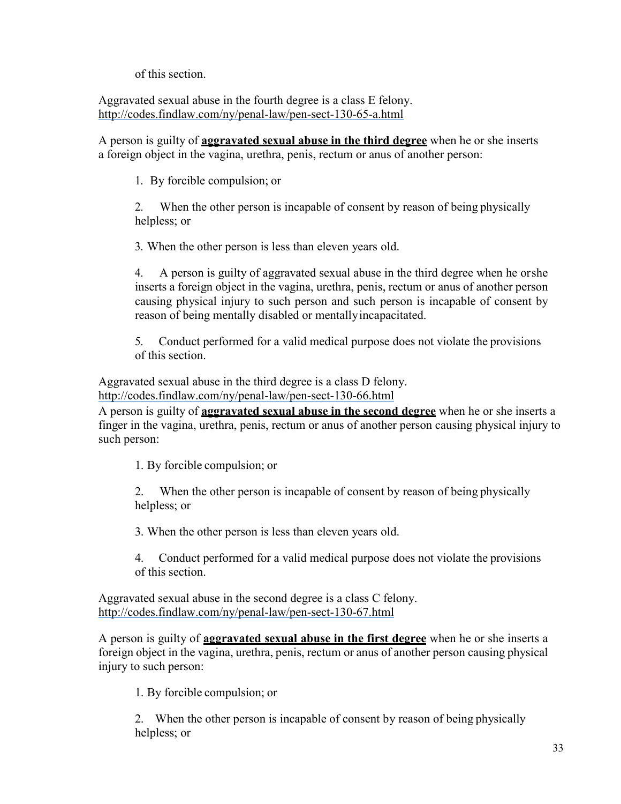of this section.

Aggravated sexual abuse in the fourth degree is a class E felony. <http://codes.findlaw.com/ny/penal-law/pen-sect-130-65-a.html>

A person is guilty of **aggravated sexual abuse in the third degree** when he or she inserts a foreign object in the vagina, urethra, penis, rectum or anus of another person:

1. By forcible compulsion; or

2. When the other person is incapable of consent by reason of being physically helpless; or

3. When the other person is less than eleven years old.

4. A person is guilty of aggravated sexual abuse in the third degree when he orshe inserts a foreign object in the vagina, urethra, penis, rectum or anus of another person causing physical injury to such person and such person is incapable of consent by reason of being mentally disabled or mentallyincapacitated.

5. Conduct performed for a valid medical purpose does not violate the provisions of this section.

Aggravated sexual abuse in the third degree is a class D felony.

<http://codes.findlaw.com/ny/penal-law/pen-sect-130-66.html>

A person is guilty of **aggravated sexual abuse in the second degree** when he or she inserts a finger in the vagina, urethra, penis, rectum or anus of another person causing physical injury to such person:

1. By forcible compulsion; or

2. When the other person is incapable of consent by reason of being physically helpless; or

3. When the other person is less than eleven years old.

4. Conduct performed for a valid medical purpose does not violate the provisions of this section.

Aggravated sexual abuse in the second degree is a class C felony. <http://codes.findlaw.com/ny/penal-law/pen-sect-130-67.html>

A person is guilty of **aggravated sexual abuse in the first degree** when he or she inserts a foreign object in the vagina, urethra, penis, rectum or anus of another person causing physical injury to such person:

1. By forcible compulsion; or

2. When the other person is incapable of consent by reason of being physically helpless; or